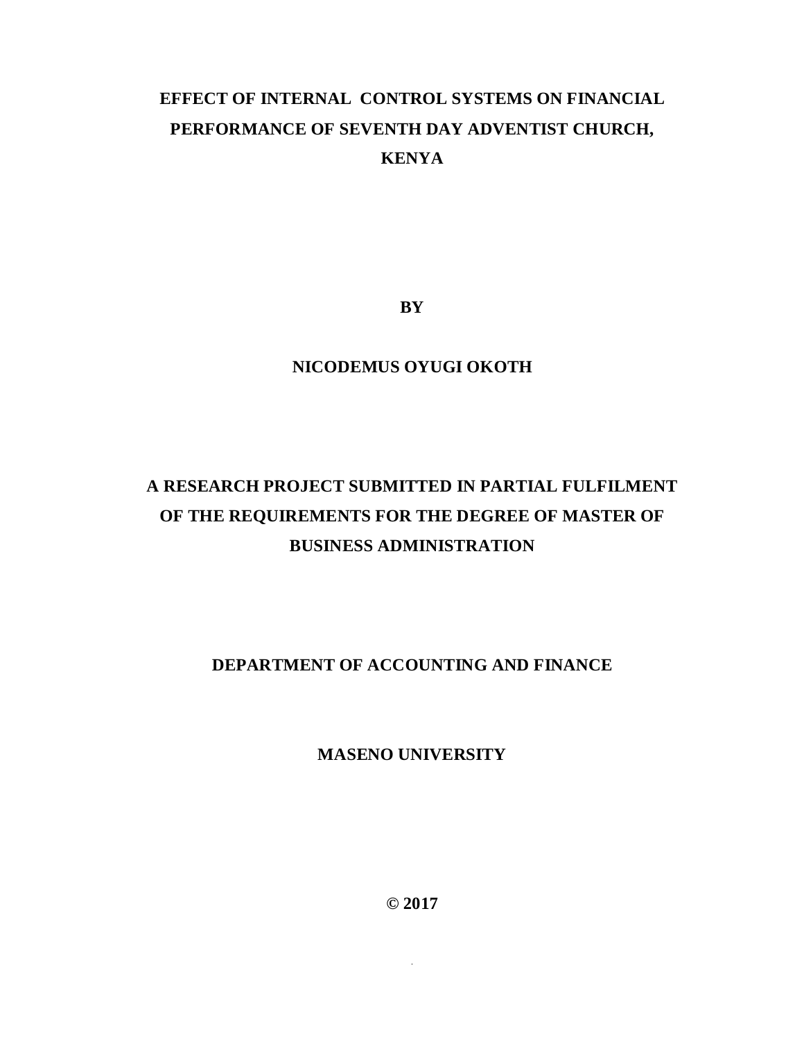# **EFFECT OF INTERNAL CONTROL SYSTEMS ON FINANCIAL PERFORMANCE OF SEVENTH DAY ADVENTIST CHURCH, KENYA**

**BY**

### **NICODEMUS OYUGI OKOTH**

# **A RESEARCH PROJECT SUBMITTED IN PARTIAL FULFILMENT OF THE REQUIREMENTS FOR THE DEGREE OF MASTER OF BUSINESS ADMINISTRATION**

**DEPARTMENT OF ACCOUNTING AND FINANCE**

**MASENO UNIVERSITY**

**© 2017**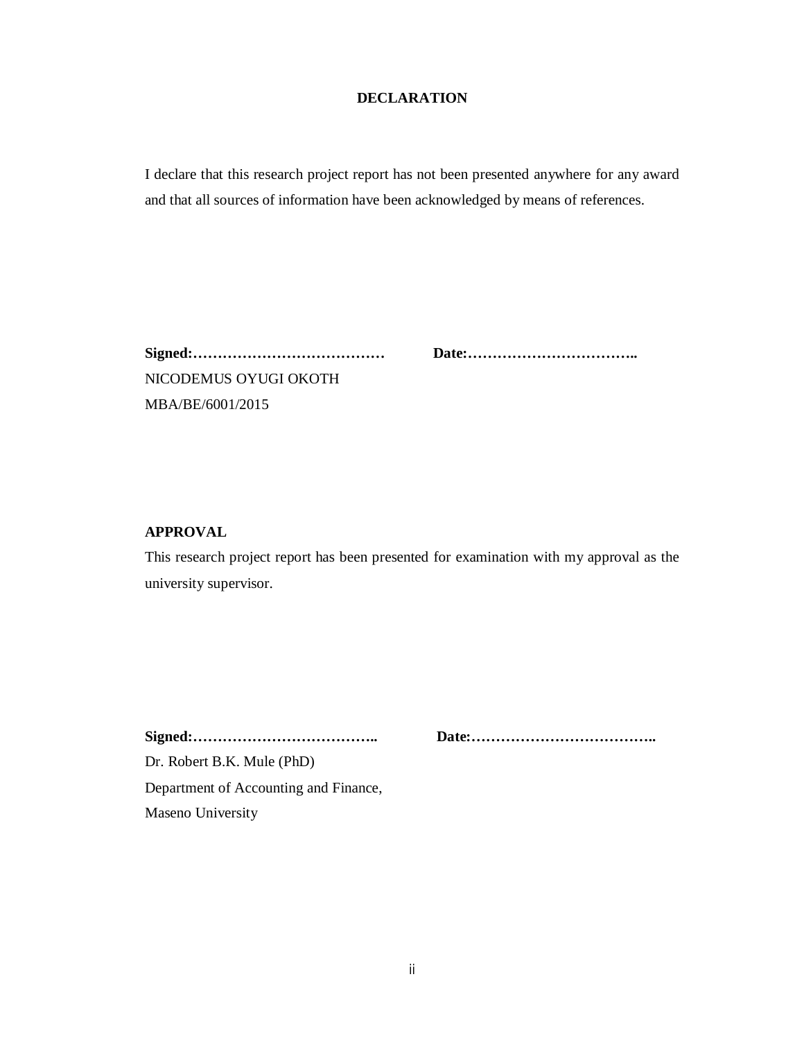### **DECLARATION**

I declare that this research project report has not been presented anywhere for any award and that all sources of information have been acknowledged by means of references.

**Signed:………………………………… Date:……………………………..** NICODEMUS OYUGI OKOTH MBA/BE/6001/2015

#### **APPROVAL**

This research project report has been presented for examination with my approval as the university supervisor.

Dr. Robert B.K. Mule (PhD) Department of Accounting and Finance, Maseno University

**Signed:……………………………….. Date:………………………………..**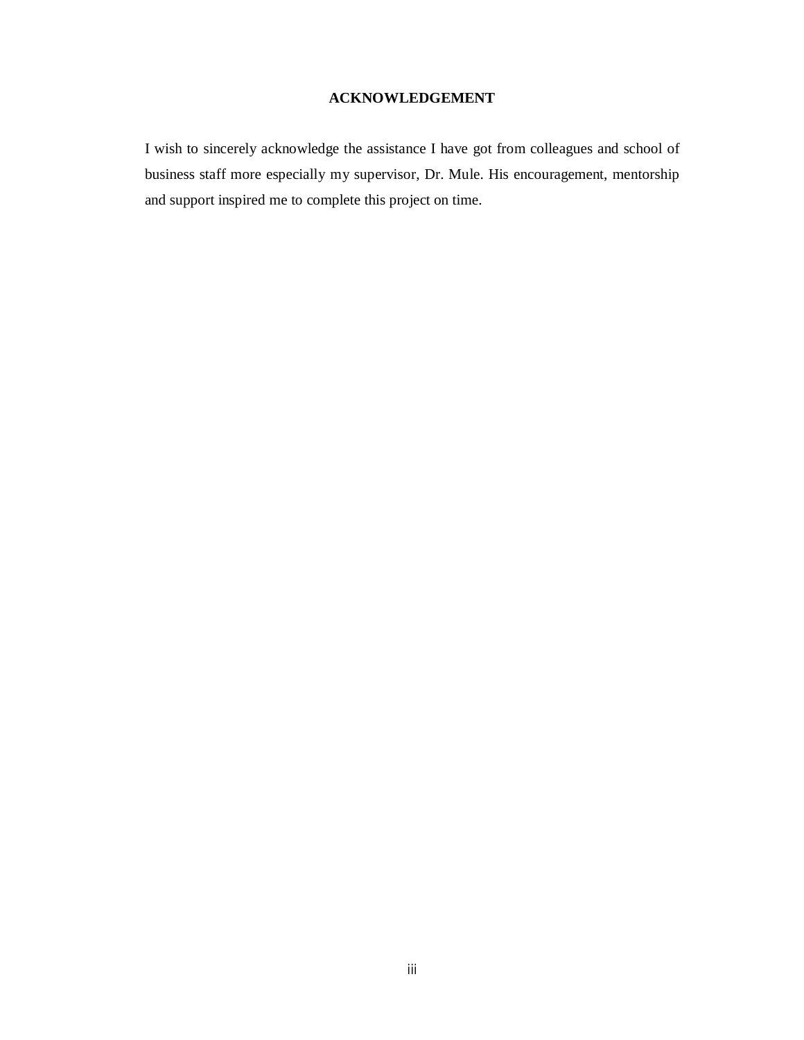### **ACKNOWLEDGEMENT**

I wish to sincerely acknowledge the assistance I have got from colleagues and school of business staff more especially my supervisor, Dr. Mule. His encouragement, mentorship and support inspired me to complete this project on time.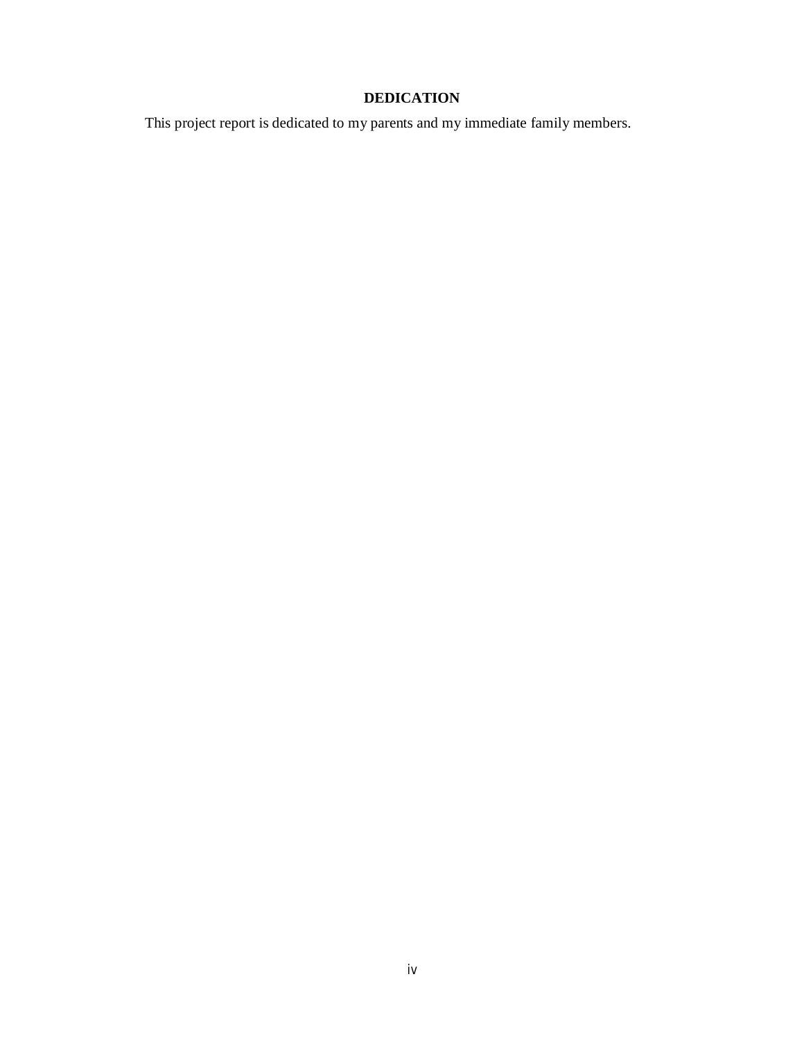## **DEDICATION**

This project report is dedicated to my parents and my immediate family members.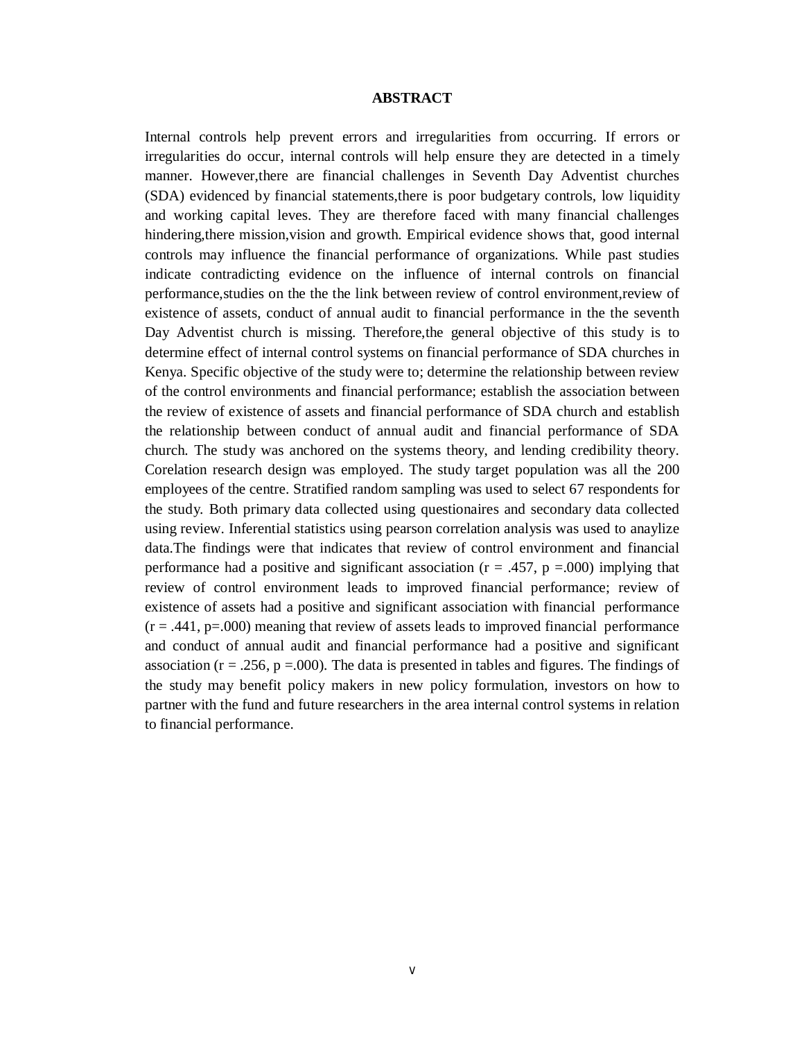#### **ABSTRACT**

Internal controls help prevent errors and irregularities from occurring. If errors or irregularities do occur, internal controls will help ensure they are detected in a timely manner. However,there are financial challenges in Seventh Day Adventist churches (SDA) evidenced by financial statements,there is poor budgetary controls, low liquidity and working capital leves. They are therefore faced with many financial challenges hindering,there mission,vision and growth. Empirical evidence shows that, good internal controls may influence the financial performance of organizations. While past studies indicate contradicting evidence on the influence of internal controls on financial performance,studies on the the the link between review of control environment,review of existence of assets, conduct of annual audit to financial performance in the the seventh Day Adventist church is missing. Therefore,the general objective of this study is to determine effect of internal control systems on financial performance of SDA churches in Kenya. Specific objective of the study were to; determine the relationship between review of the control environments and financial performance; establish the association between the review of existence of assets and financial performance of SDA church and establish the relationship between conduct of annual audit and financial performance of SDA church. The study was anchored on the systems theory, and lending credibility theory. Corelation research design was employed. The study target population was all the 200 employees of the centre. Stratified random sampling was used to select 67 respondents for the study. Both primary data collected using questionaires and secondary data collected using review. Inferential statistics using pearson correlation analysis was used to anaylize data.The findings were that indicates that review of control environment and financial performance had a positive and significant association ( $r = .457$ ,  $p = .000$ ) implying that review of control environment leads to improved financial performance; review of existence of assets had a positive and significant association with financial performance  $(r = .441, p = .000)$  meaning that review of assets leads to improved financial performance and conduct of annual audit and financial performance had a positive and significant association ( $r = 0.256$ ,  $p = 0.000$ ). The data is presented in tables and figures. The findings of the study may benefit policy makers in new policy formulation, investors on how to partner with the fund and future researchers in the area internal control systems in relation to financial performance.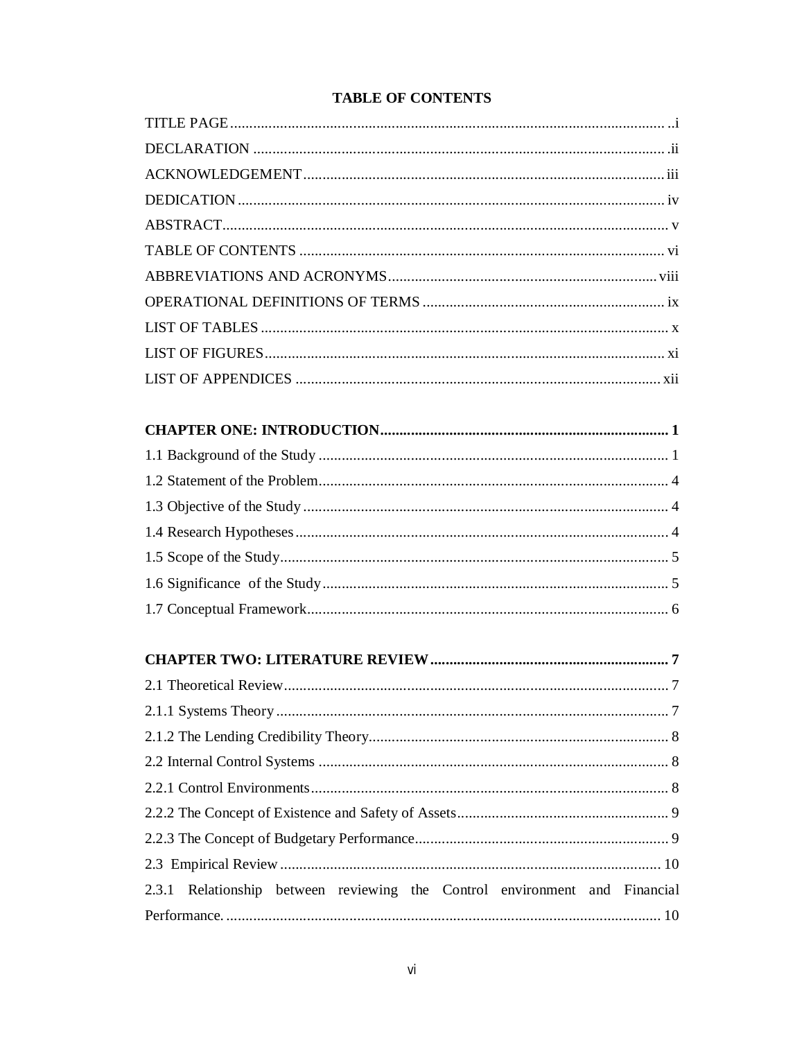## **TABLE OF CONTENTS**

| Relationship between reviewing the Control environment and Financial<br>2.3.1 |
|-------------------------------------------------------------------------------|
|                                                                               |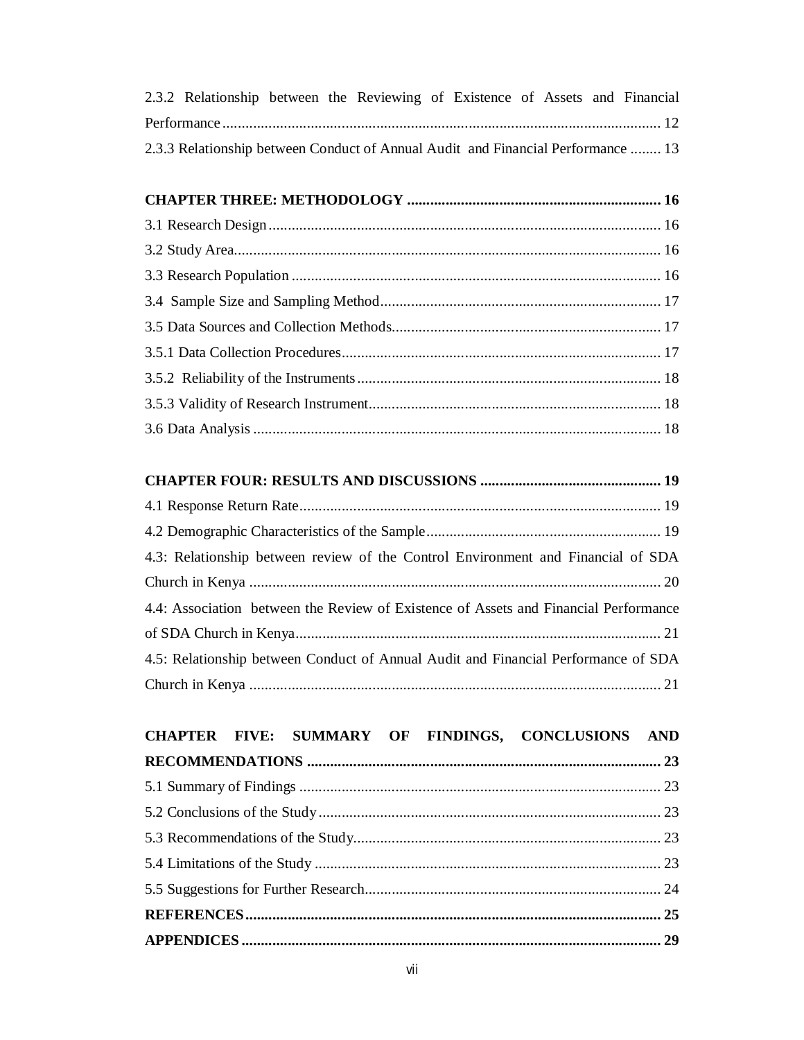| 2.3.2 Relationship between the Reviewing of Existence of Assets and Financial    |  |  |  |  |  |
|----------------------------------------------------------------------------------|--|--|--|--|--|
|                                                                                  |  |  |  |  |  |
| 2.3.3 Relationship between Conduct of Annual Audit and Financial Performance  13 |  |  |  |  |  |

### **CHAPTER FOUR: RESULTS AND DISCUSSIONS ............................................... 19**

| 4.3: Relationship between review of the Control Environment and Financial of SDA     |  |
|--------------------------------------------------------------------------------------|--|
|                                                                                      |  |
| 4.4: Association between the Review of Existence of Assets and Financial Performance |  |
|                                                                                      |  |
| 4.5: Relationship between Conduct of Annual Audit and Financial Performance of SDA   |  |
|                                                                                      |  |

| CHAPTER FIVE: SUMMARY OF FINDINGS, CONCLUSIONS AND |  |  |  |
|----------------------------------------------------|--|--|--|
|                                                    |  |  |  |
|                                                    |  |  |  |
|                                                    |  |  |  |
|                                                    |  |  |  |
|                                                    |  |  |  |
|                                                    |  |  |  |
|                                                    |  |  |  |
|                                                    |  |  |  |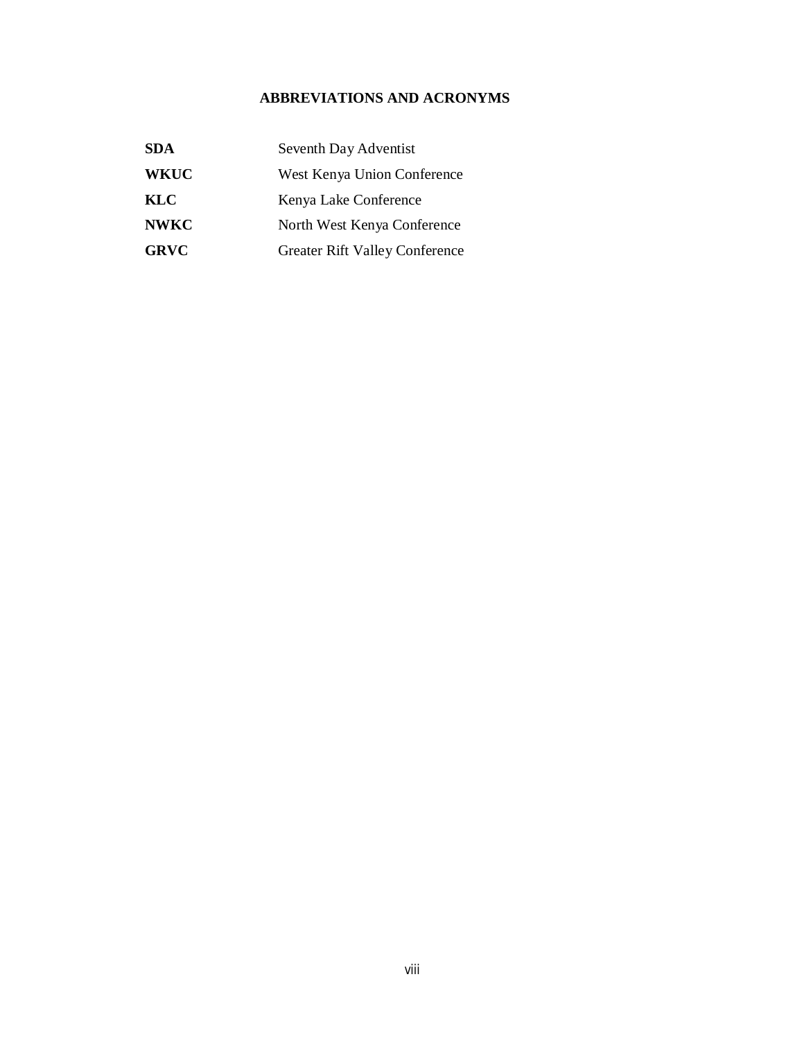## **ABBREVIATIONS AND ACRONYMS**

| <b>SDA</b>  | Seventh Day Adventist                 |
|-------------|---------------------------------------|
| <b>WKUC</b> | West Kenya Union Conference           |
| <b>KLC</b>  | Kenya Lake Conference                 |
| <b>NWKC</b> | North West Kenya Conference           |
| <b>GRVC</b> | <b>Greater Rift Valley Conference</b> |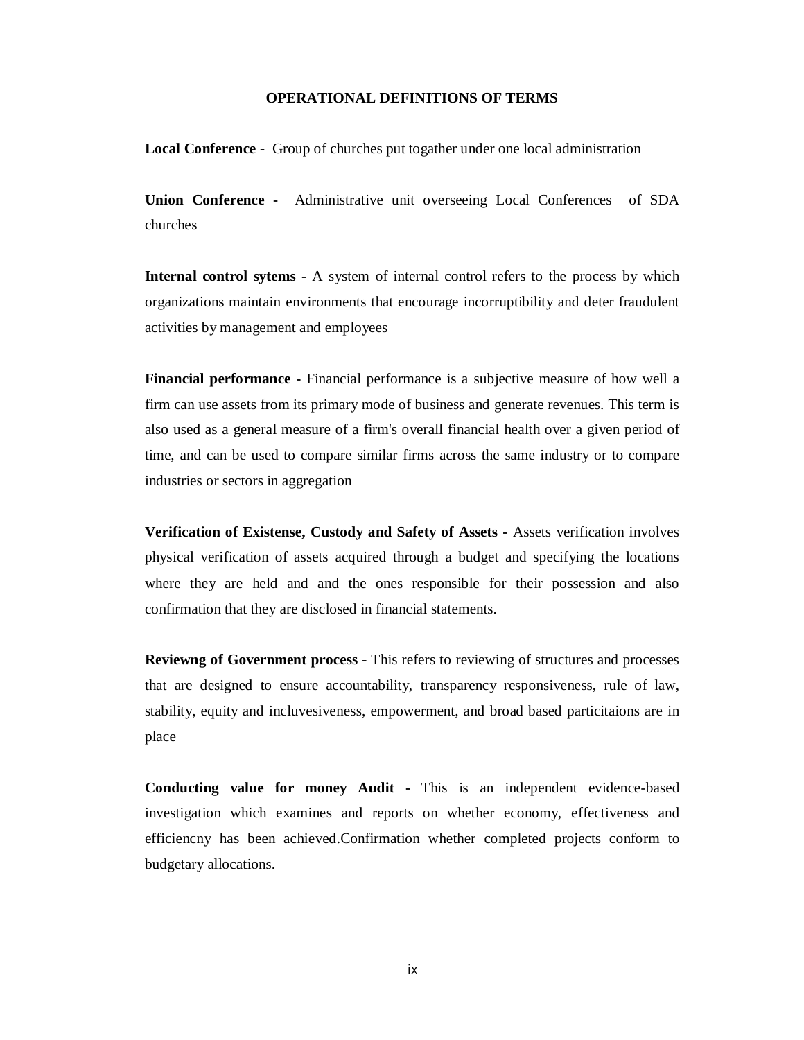#### **OPERATIONAL DEFINITIONS OF TERMS**

**Local Conference -** Group of churches put togather under one local administration

**Union Conference -** Administrative unit overseeing Local Conferences of SDA churches

**Internal control sytems -** A system of internal control refers to the process by which organizations maintain environments that encourage incorruptibility and deter fraudulent activities by management and employees

**Financial performance -** Financial performance is a subjective measure of how well a firm can use assets from its primary mode of business and generate revenues. This term is also used as a general measure of a firm's overall financial health over a given period of time, and can be used to compare similar firms across the same industry or to compare industries or sectors in aggregation

**Verification of Existense, Custody and Safety of Assets -** Assets verification involves physical verification of assets acquired through a budget and specifying the locations where they are held and and the ones responsible for their possession and also confirmation that they are disclosed in financial statements.

**Reviewng of Government process -** This refers to reviewing of structures and processes that are designed to ensure accountability, transparency responsiveness, rule of law, stability, equity and incluvesiveness, empowerment, and broad based particitaions are in place

**Conducting value for money Audit -** This is an independent evidence-based investigation which examines and reports on whether economy, effectiveness and efficiencny has been achieved.Confirmation whether completed projects conform to budgetary allocations.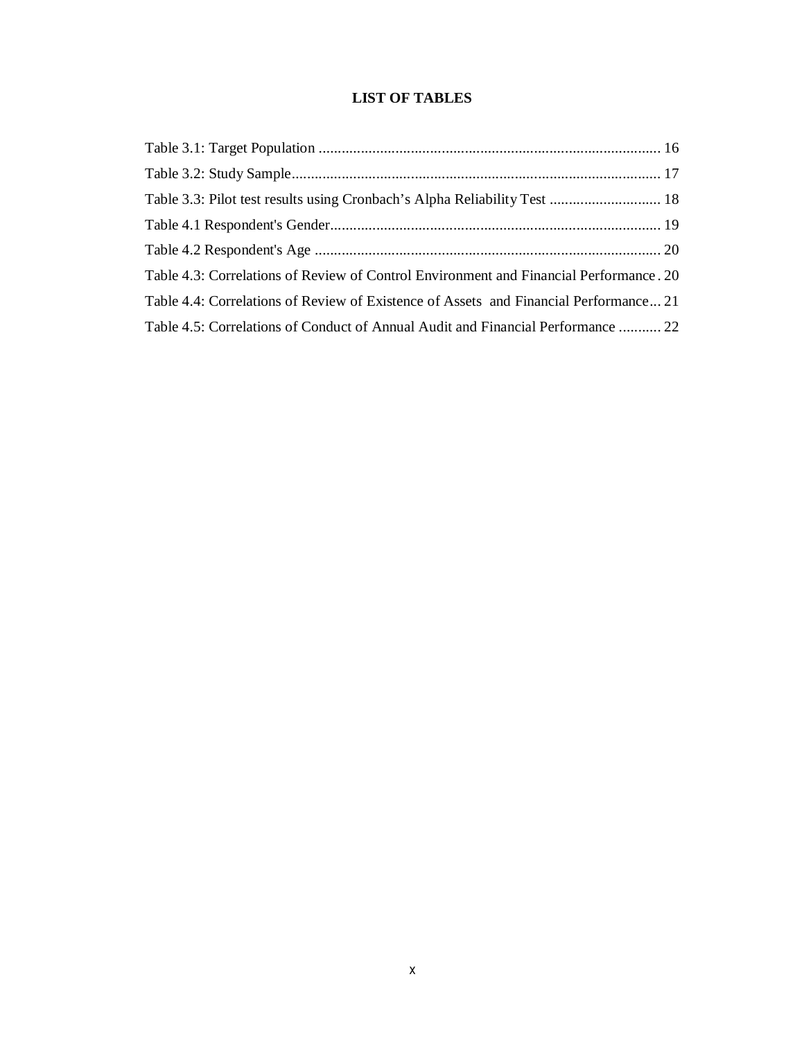### **LIST OF TABLES**

| Table 3.3: Pilot test results using Cronbach's Alpha Reliability Test  18              |
|----------------------------------------------------------------------------------------|
|                                                                                        |
|                                                                                        |
| Table 4.3: Correlations of Review of Control Environment and Financial Performance. 20 |
| Table 4.4: Correlations of Review of Existence of Assets and Financial Performance 21  |
| Table 4.5: Correlations of Conduct of Annual Audit and Financial Performance  22       |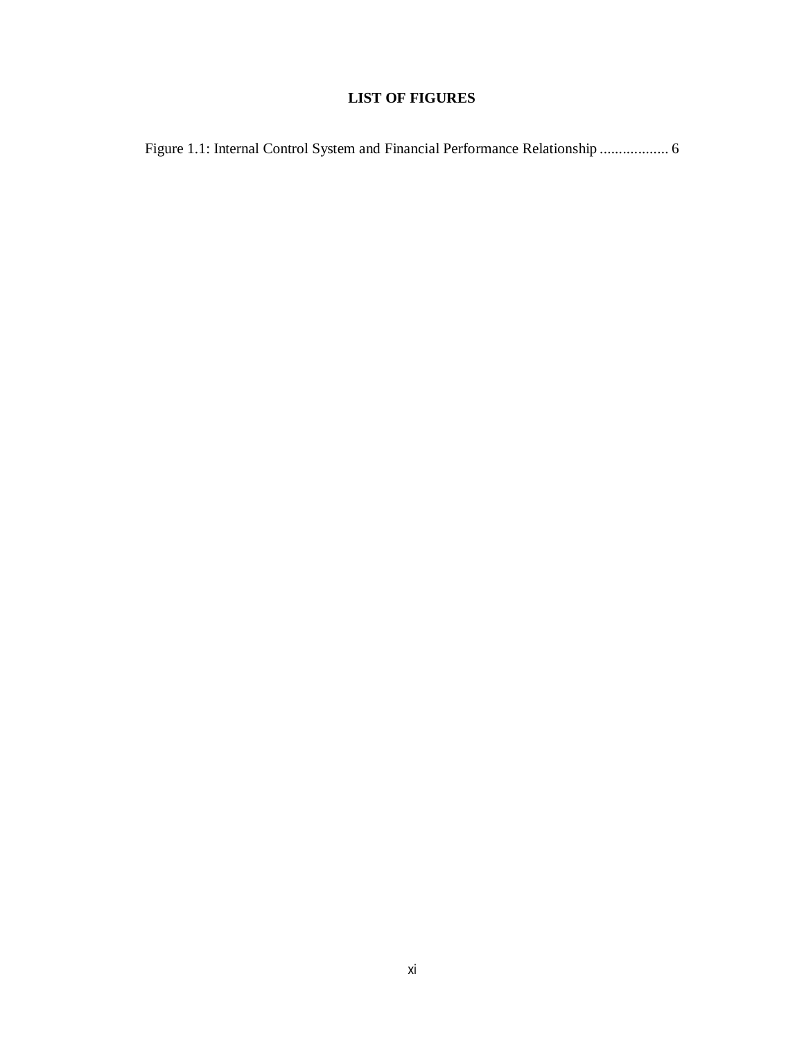## **LIST OF FIGURES**

Figure 1.1: Internal Control System and Financial Performance Relationship .................. 6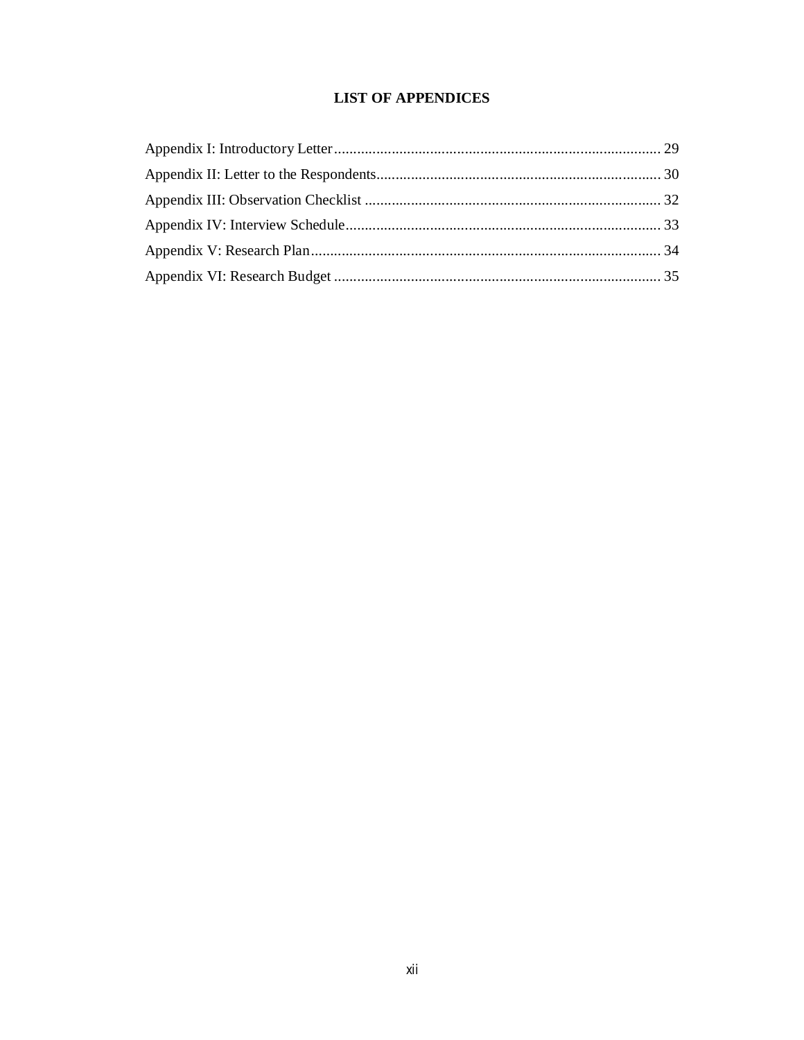## **LIST OF APPENDICES**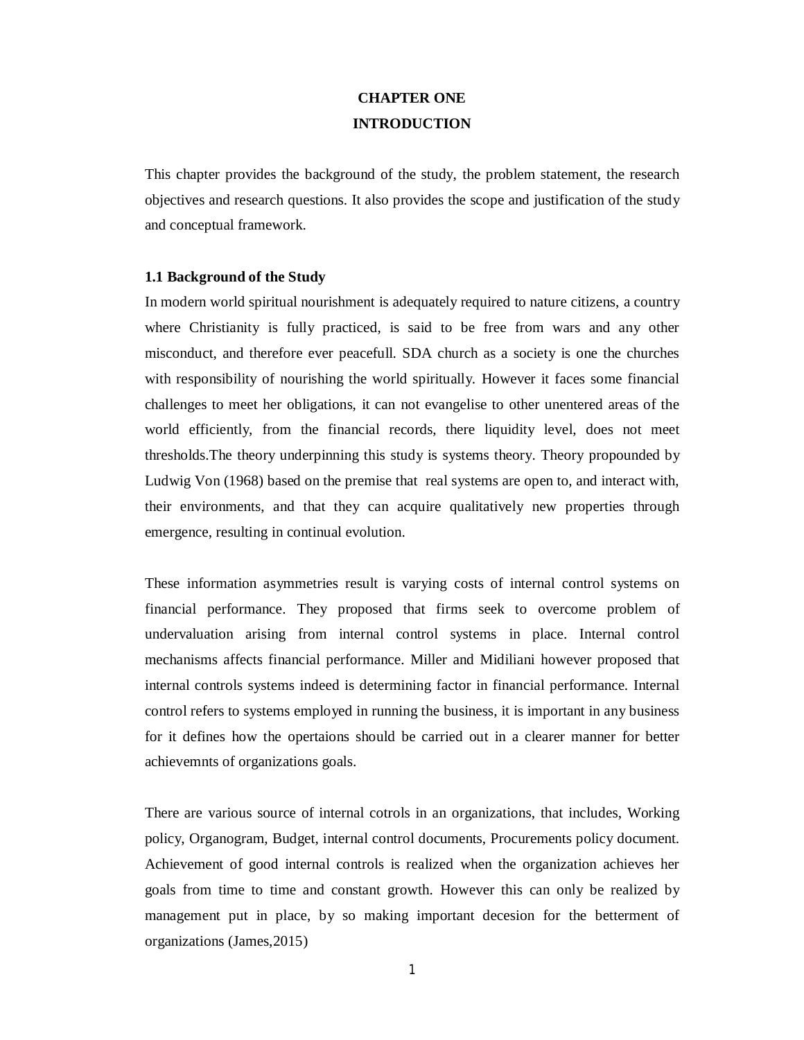## **CHAPTER ONE INTRODUCTION**

This chapter provides the background of the study, the problem statement, the research objectives and research questions. It also provides the scope and justification of the study and conceptual framework.

#### **1.1 Background of the Study**

In modern world spiritual nourishment is adequately required to nature citizens, a country where Christianity is fully practiced, is said to be free from wars and any other misconduct, and therefore ever peacefull. SDA church as a society is one the churches with responsibility of nourishing the world spiritually. However it faces some financial challenges to meet her obligations, it can not evangelise to other unentered areas of the world efficiently, from the financial records, there liquidity level, does not meet thresholds.The theory underpinning this study is systems theory. Theory propounded by Ludwig Von (1968) based on the premise that real systems are open to, and interact with, their environments, and that they can acquire qualitatively new properties through emergence, resulting in continual evolution.

These information asymmetries result is varying costs of internal control systems on financial performance. They proposed that firms seek to overcome problem of undervaluation arising from internal control systems in place. Internal control mechanisms affects financial performance. Miller and Midiliani however proposed that internal controls systems indeed is determining factor in financial performance. Internal control refers to systems employed in running the business, it is important in any business for it defines how the opertaions should be carried out in a clearer manner for better achievemnts of organizations goals.

There are various source of internal cotrols in an organizations, that includes, Working policy, Organogram, Budget, internal control documents, Procurements policy document. Achievement of good internal controls is realized when the organization achieves her goals from time to time and constant growth. However this can only be realized by management put in place, by so making important decesion for the betterment of organizations (James,2015)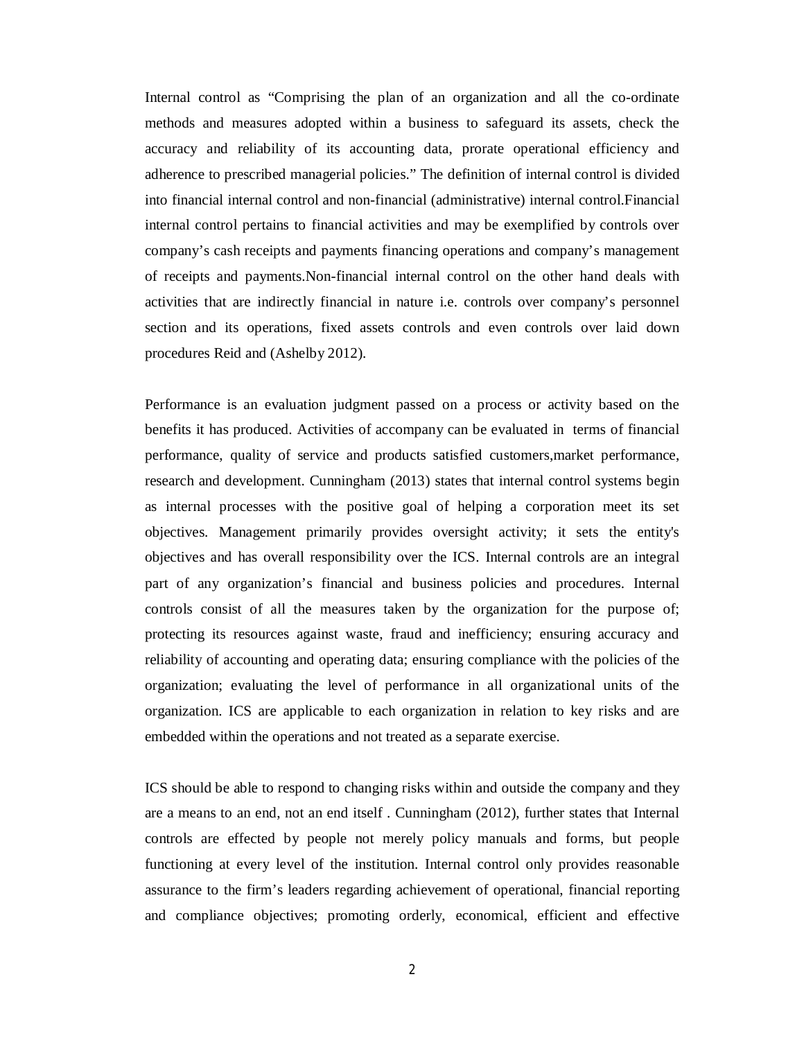Internal control as "Comprising the plan of an organization and all the co-ordinate methods and measures adopted within a business to safeguard its assets, check the accuracy and reliability of its accounting data, prorate operational efficiency and adherence to prescribed managerial policies." The definition of internal control is divided into financial internal control and non-financial (administrative) internal control.Financial internal control pertains to financial activities and may be exemplified by controls over company's cash receipts and payments financing operations and company's management of receipts and payments.Non-financial internal control on the other hand deals with activities that are indirectly financial in nature i.e. controls over company's personnel section and its operations, fixed assets controls and even controls over laid down procedures Reid and (Ashelby 2012).

Performance is an evaluation judgment passed on a process or activity based on the benefits it has produced. Activities of accompany can be evaluated in terms of financial performance, quality of service and products satisfied customers,market performance, research and development. Cunningham (2013) states that internal control systems begin as internal processes with the positive goal of helping a corporation meet its set objectives. Management primarily provides oversight activity; it sets the entity's objectives and has overall responsibility over the ICS. Internal controls are an integral part of any organization's financial and business policies and procedures. Internal controls consist of all the measures taken by the organization for the purpose of; protecting its resources against waste, fraud and inefficiency; ensuring accuracy and reliability of accounting and operating data; ensuring compliance with the policies of the organization; evaluating the level of performance in all organizational units of the organization. ICS are applicable to each organization in relation to key risks and are embedded within the operations and not treated as a separate exercise.

ICS should be able to respond to changing risks within and outside the company and they are a means to an end, not an end itself . Cunningham (2012), further states that Internal controls are effected by people not merely policy manuals and forms, but people functioning at every level of the institution. Internal control only provides reasonable assurance to the firm's leaders regarding achievement of operational, financial reporting and compliance objectives; promoting orderly, economical, efficient and effective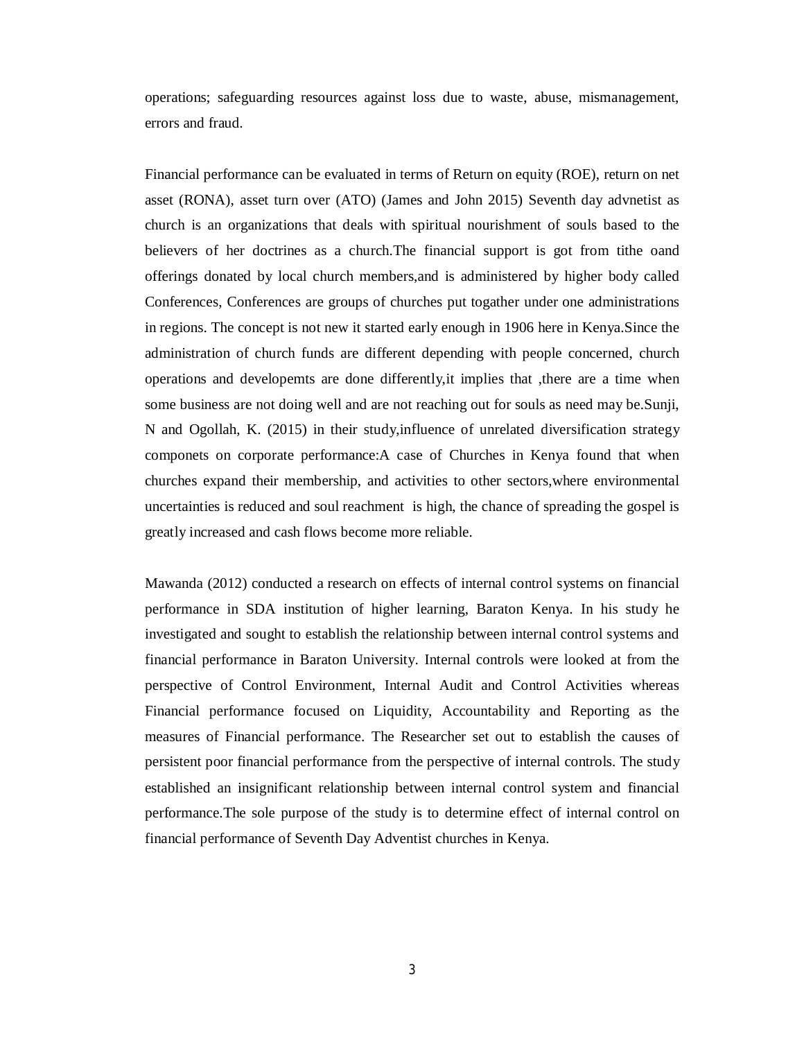operations; safeguarding resources against loss due to waste, abuse, mismanagement, errors and fraud.

Financial performance can be evaluated in terms of Return on equity (ROE), return on net asset (RONA), asset turn over (ATO) (James and John 2015) Seventh day advnetist as church is an organizations that deals with spiritual nourishment of souls based to the believers of her doctrines as a church.The financial support is got from tithe oand offerings donated by local church members,and is administered by higher body called Conferences, Conferences are groups of churches put togather under one administrations in regions. The concept is not new it started early enough in 1906 here in Kenya.Since the administration of church funds are different depending with people concerned, church operations and developemts are done differently,it implies that ,there are a time when some business are not doing well and are not reaching out for souls as need may be.Sunji, N and Ogollah, K. (2015) in their study,influence of unrelated diversification strategy componets on corporate performance:A case of Churches in Kenya found that when churches expand their membership, and activities to other sectors,where environmental uncertainties is reduced and soul reachment is high, the chance of spreading the gospel is greatly increased and cash flows become more reliable.

Mawanda (2012) conducted a research on effects of internal control systems on financial performance in SDA institution of higher learning, Baraton Kenya. In his study he investigated and sought to establish the relationship between internal control systems and financial performance in Baraton University. Internal controls were looked at from the perspective of Control Environment, Internal Audit and Control Activities whereas Financial performance focused on Liquidity, Accountability and Reporting as the measures of Financial performance. The Researcher set out to establish the causes of persistent poor financial performance from the perspective of internal controls. The study established an insignificant relationship between internal control system and financial performance.The sole purpose of the study is to determine effect of internal control on financial performance of Seventh Day Adventist churches in Kenya.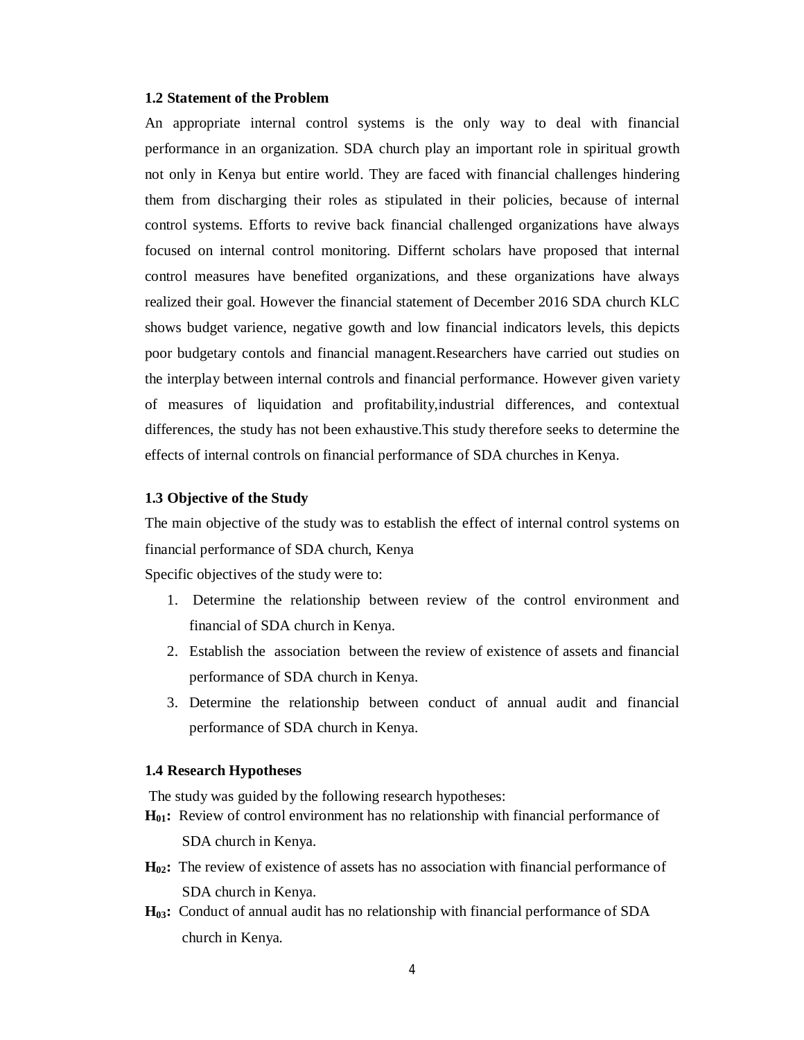#### **1.2 Statement of the Problem**

An appropriate internal control systems is the only way to deal with financial performance in an organization. SDA church play an important role in spiritual growth not only in Kenya but entire world. They are faced with financial challenges hindering them from discharging their roles as stipulated in their policies, because of internal control systems. Efforts to revive back financial challenged organizations have always focused on internal control monitoring. Differnt scholars have proposed that internal control measures have benefited organizations, and these organizations have always realized their goal. However the financial statement of December 2016 SDA church KLC shows budget varience, negative gowth and low financial indicators levels, this depicts poor budgetary contols and financial managent.Researchers have carried out studies on the interplay between internal controls and financial performance. However given variety of measures of liquidation and profitability,industrial differences, and contextual differences, the study has not been exhaustive.This study therefore seeks to determine the effects of internal controls on financial performance of SDA churches in Kenya.

#### **1.3 Objective of the Study**

The main objective of the study was to establish the effect of internal control systems on financial performance of SDA church, Kenya

Specific objectives of the study were to:

- 1. Determine the relationship between review of the control environment and financial of SDA church in Kenya.
- 2. Establish the association between the review of existence of assets and financial performance of SDA church in Kenya.
- 3. Determine the relationship between conduct of annual audit and financial performance of SDA church in Kenya.

#### **1.4 Research Hypotheses**

The study was guided by the following research hypotheses:

- **H01:** Review of control environment has no relationship with financial performance of SDA church in Kenya.
- **H02:** The review of existence of assets has no association with financial performance of SDA church in Kenya.
- **H03:** Conduct of annual audit has no relationship with financial performance of SDA church in Kenya.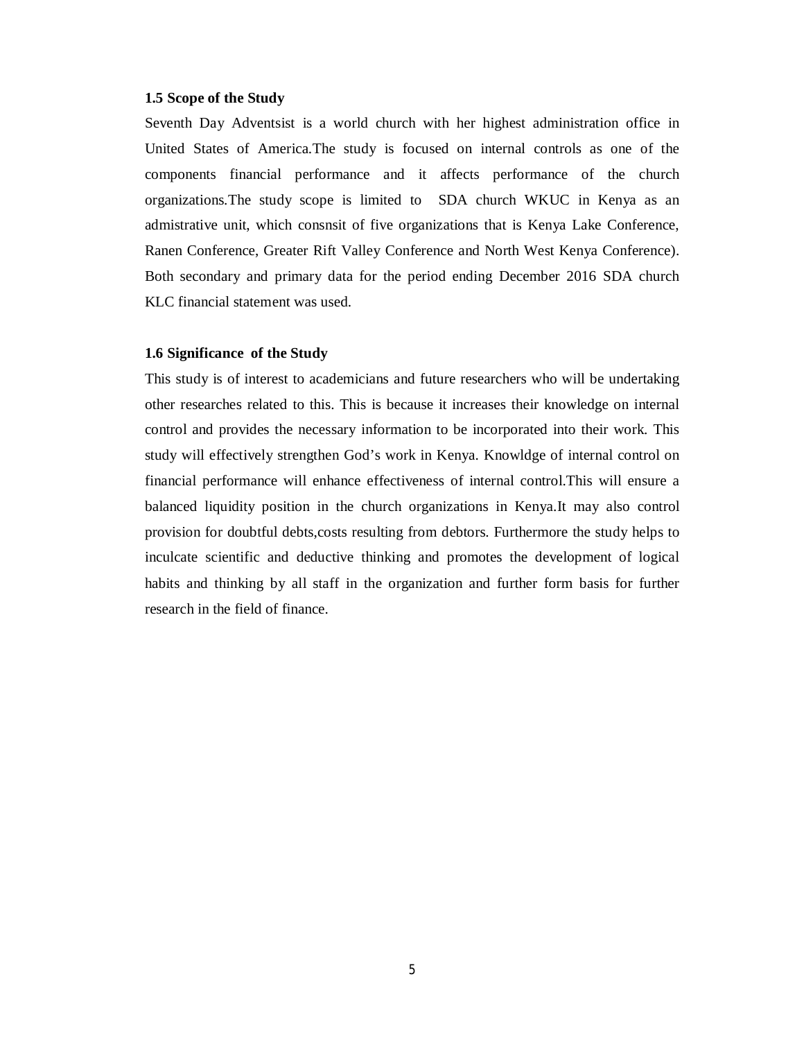#### **1.5 Scope of the Study**

Seventh Day Adventsist is a world church with her highest administration office in United States of America.The study is focused on internal controls as one of the components financial performance and it affects performance of the church organizations.The study scope is limited to SDA church WKUC in Kenya as an admistrative unit, which consnsit of five organizations that is Kenya Lake Conference, Ranen Conference, Greater Rift Valley Conference and North West Kenya Conference). Both secondary and primary data for the period ending December 2016 SDA church KLC financial statement was used.

#### **1.6 Significance of the Study**

This study is of interest to academicians and future researchers who will be undertaking other researches related to this. This is because it increases their knowledge on internal control and provides the necessary information to be incorporated into their work. This study will effectively strengthen God's work in Kenya. Knowldge of internal control on financial performance will enhance effectiveness of internal control.This will ensure a balanced liquidity position in the church organizations in Kenya.It may also control provision for doubtful debts,costs resulting from debtors. Furthermore the study helps to inculcate scientific and deductive thinking and promotes the development of logical habits and thinking by all staff in the organization and further form basis for further research in the field of finance.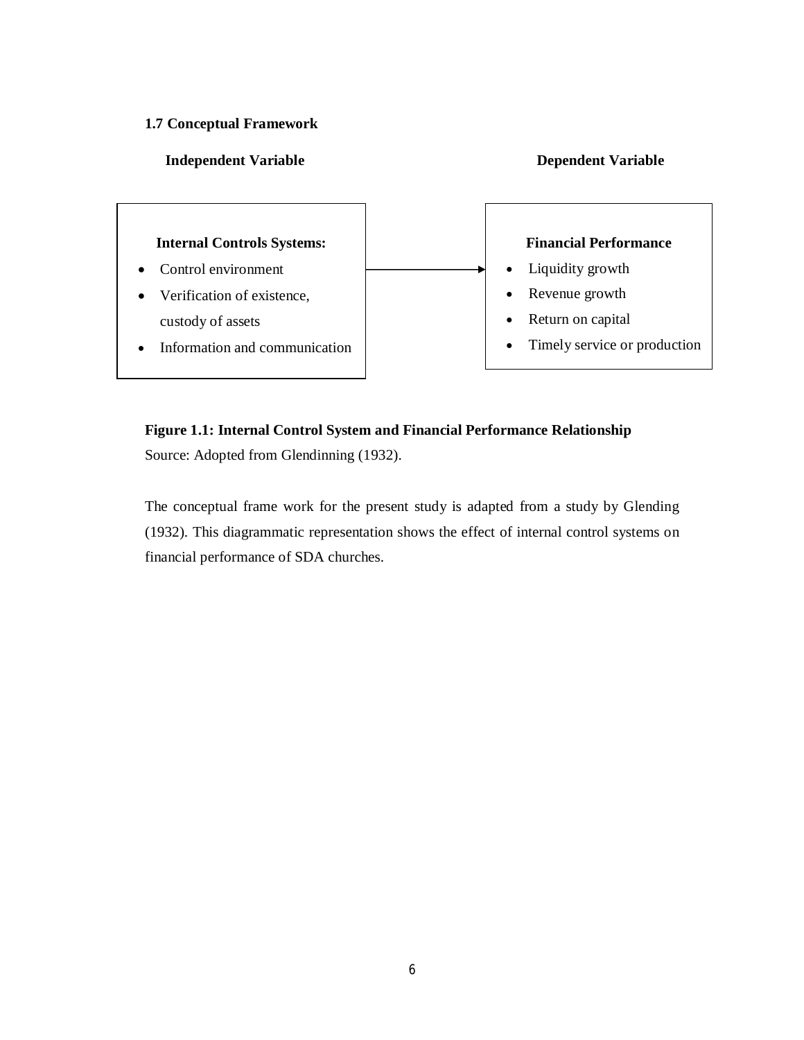### **1.7 Conceptual Framework**

### ׇ֧֬ **Internal Controls Systems:** • Control environment Verification of existence, custody of assets • Information and communication **Financial Performance**  • Liquidity growth • Revenue growth • Return on capital • Timely service or production **Independent Variable Dependent Variable**

### **Figure 1.1: Internal Control System and Financial Performance Relationship**

Source: Adopted from Glendinning (1932).

The conceptual frame work for the present study is adapted from a study by Glending (1932). This diagrammatic representation shows the effect of internal control systems on financial performance of SDA churches.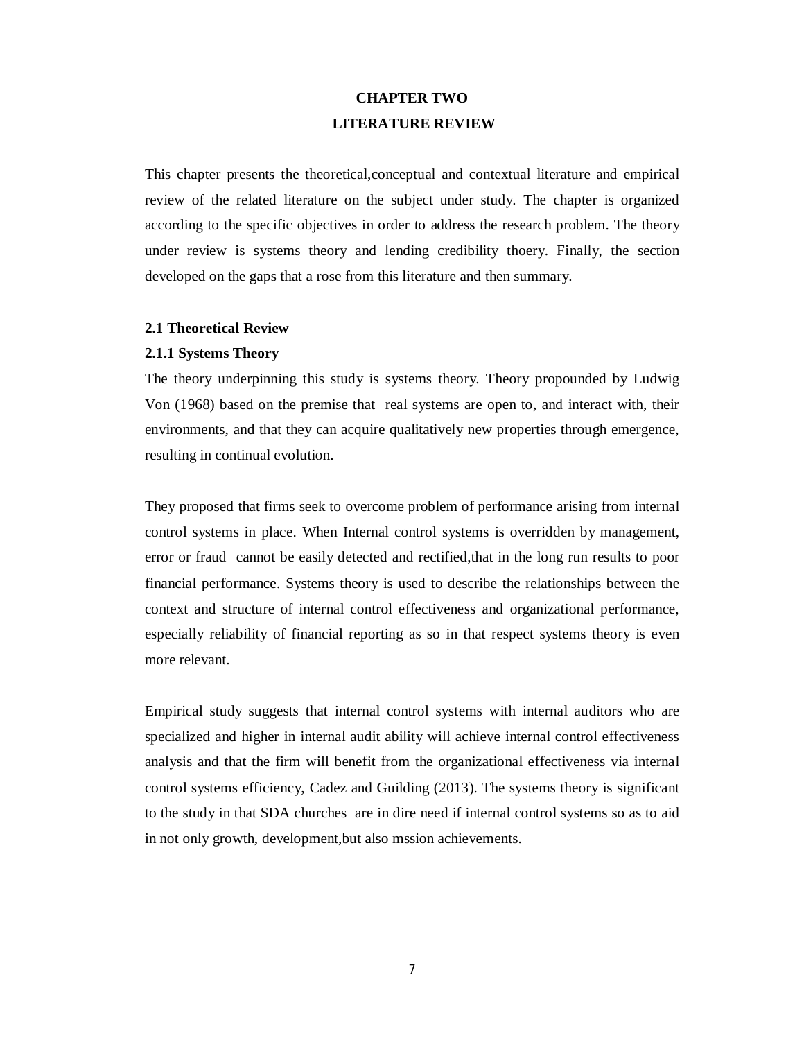## **CHAPTER TWO LITERATURE REVIEW**

This chapter presents the theoretical,conceptual and contextual literature and empirical review of the related literature on the subject under study. The chapter is organized according to the specific objectives in order to address the research problem. The theory under review is systems theory and lending credibility thoery. Finally, the section developed on the gaps that a rose from this literature and then summary.

#### **2.1 Theoretical Review**

#### **2.1.1 Systems Theory**

The theory underpinning this study is systems theory. Theory propounded by Ludwig Von (1968) based on the premise that real systems are open to, and interact with, their environments, and that they can acquire qualitatively new properties through emergence, resulting in continual evolution.

They proposed that firms seek to overcome problem of performance arising from internal control systems in place. When Internal control systems is overridden by management, error or fraud cannot be easily detected and rectified,that in the long run results to poor financial performance. Systems theory is used to describe the relationships between the context and structure of internal control effectiveness and organizational performance, especially reliability of financial reporting as so in that respect systems theory is even more relevant.

Empirical study suggests that internal control systems with internal auditors who are specialized and higher in internal audit ability will achieve internal control effectiveness analysis and that the firm will benefit from the organizational effectiveness via internal control systems efficiency, Cadez and Guilding (2013). The systems theory is significant to the study in that SDA churches are in dire need if internal control systems so as to aid in not only growth, development,but also mssion achievements.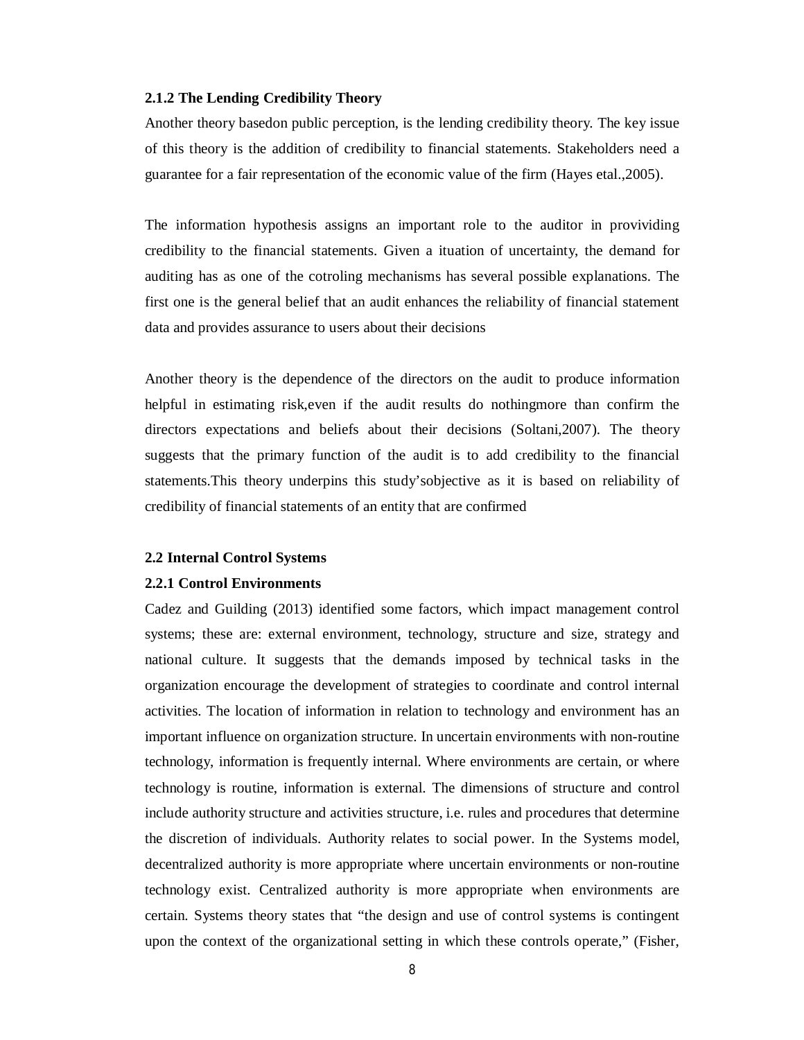#### **2.1.2 The Lending Credibility Theory**

Another theory basedon public perception, is the lending credibility theory. The key issue of this theory is the addition of credibility to financial statements. Stakeholders need a guarantee for a fair representation of the economic value of the firm (Hayes etal.,2005).

The information hypothesis assigns an important role to the auditor in provividing credibility to the financial statements. Given a ituation of uncertainty, the demand for auditing has as one of the cotroling mechanisms has several possible explanations. The first one is the general belief that an audit enhances the reliability of financial statement data and provides assurance to users about their decisions

Another theory is the dependence of the directors on the audit to produce information helpful in estimating risk,even if the audit results do nothingmore than confirm the directors expectations and beliefs about their decisions (Soltani,2007). The theory suggests that the primary function of the audit is to add credibility to the financial statements.This theory underpins this study'sobjective as it is based on reliability of credibility of financial statements of an entity that are confirmed

#### **2.2 Internal Control Systems**

#### **2.2.1 Control Environments**

Cadez and Guilding (2013) identified some factors, which impact management control systems; these are: external environment, technology, structure and size, strategy and national culture. It suggests that the demands imposed by technical tasks in the organization encourage the development of strategies to coordinate and control internal activities. The location of information in relation to technology and environment has an important influence on organization structure. In uncertain environments with non-routine technology, information is frequently internal. Where environments are certain, or where technology is routine, information is external. The dimensions of structure and control include authority structure and activities structure, i.e. rules and procedures that determine the discretion of individuals. Authority relates to social power. In the Systems model, decentralized authority is more appropriate where uncertain environments or non-routine technology exist. Centralized authority is more appropriate when environments are certain. Systems theory states that "the design and use of control systems is contingent upon the context of the organizational setting in which these controls operate," (Fisher,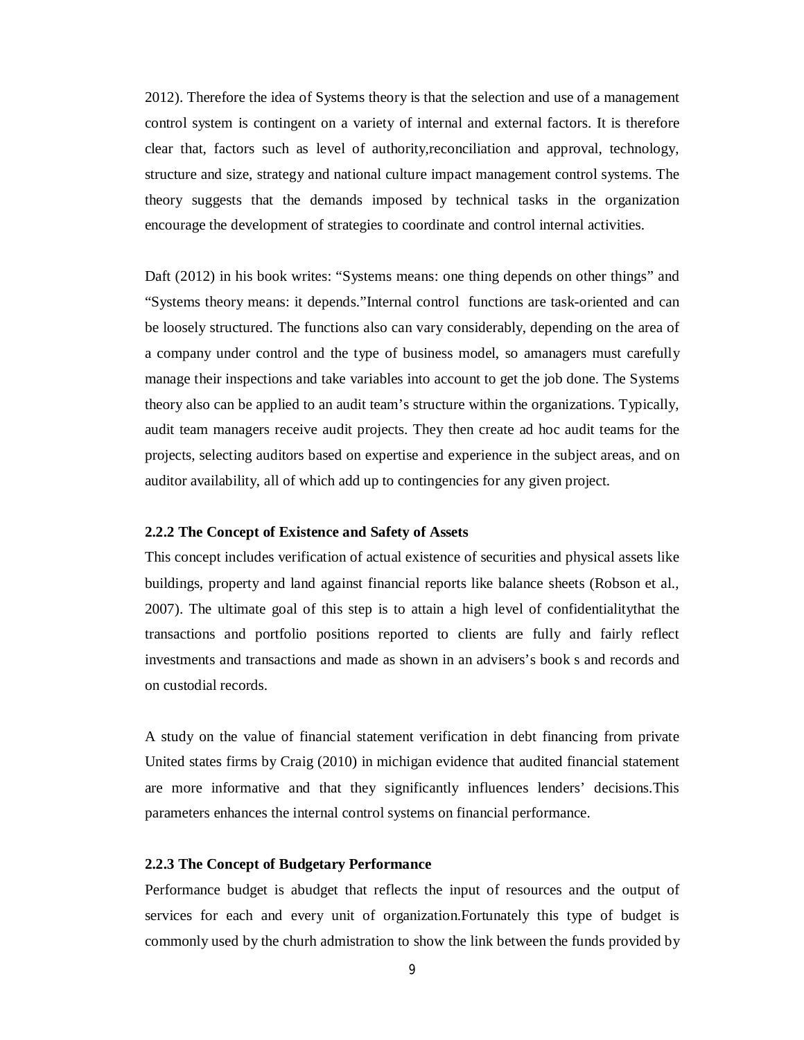2012). Therefore the idea of Systems theory is that the selection and use of a management control system is contingent on a variety of internal and external factors. It is therefore clear that, factors such as level of authority,reconciliation and approval, technology, structure and size, strategy and national culture impact management control systems. The theory suggests that the demands imposed by technical tasks in the organization encourage the development of strategies to coordinate and control internal activities.

Daft (2012) in his book writes: "Systems means: one thing depends on other things" and "Systems theory means: it depends."Internal control functions are task-oriented and can be loosely structured. The functions also can vary considerably, depending on the area of a company under control and the type of business model, so amanagers must carefully manage their inspections and take variables into account to get the job done. The Systems theory also can be applied to an audit team's structure within the organizations. Typically, audit team managers receive audit projects. They then create ad hoc audit teams for the projects, selecting auditors based on expertise and experience in the subject areas, and on auditor availability, all of which add up to contingencies for any given project.

#### **2.2.2 The Concept of Existence and Safety of Assets**

This concept includes verification of actual existence of securities and physical assets like buildings, property and land against financial reports like balance sheets (Robson et al., 2007). The ultimate goal of this step is to attain a high level of confidentialitythat the transactions and portfolio positions reported to clients are fully and fairly reflect investments and transactions and made as shown in an advisers's book s and records and on custodial records.

A study on the value of financial statement verification in debt financing from private United states firms by Craig (2010) in michigan evidence that audited financial statement are more informative and that they significantly influences lenders' decisions.This parameters enhances the internal control systems on financial performance.

#### **2.2.3 The Concept of Budgetary Performance**

Performance budget is abudget that reflects the input of resources and the output of services for each and every unit of organization.Fortunately this type of budget is commonly used by the churh admistration to show the link between the funds provided by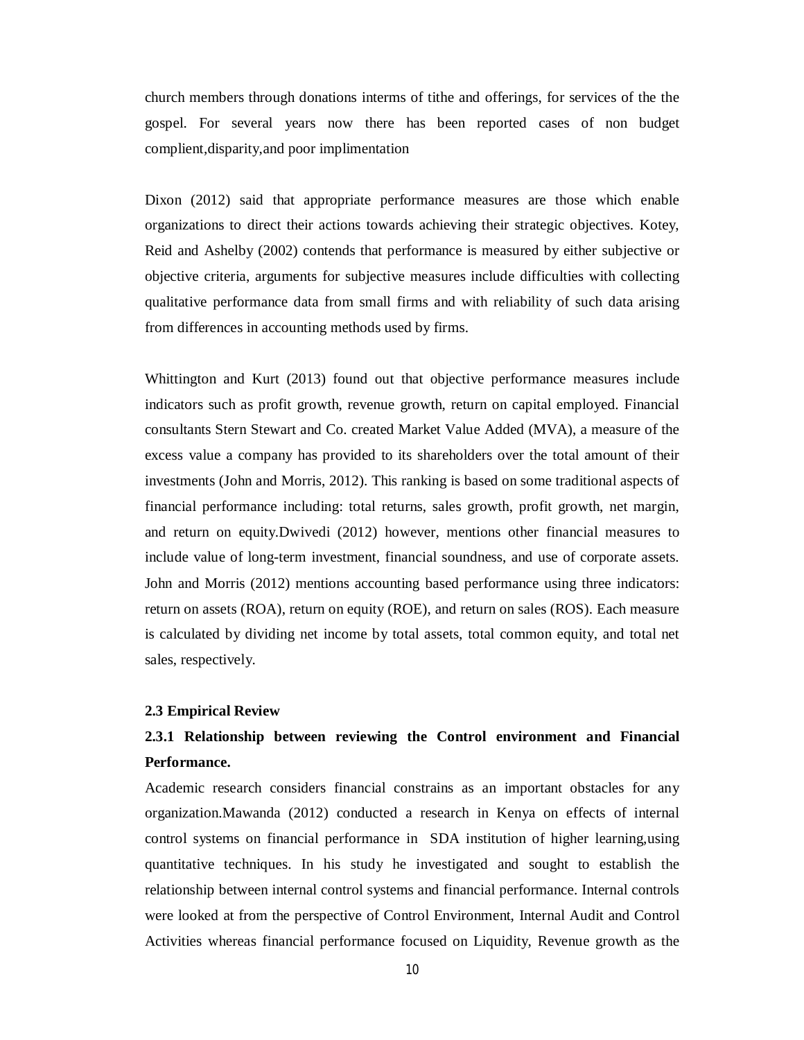church members through donations interms of tithe and offerings, for services of the the gospel. For several years now there has been reported cases of non budget complient,disparity,and poor implimentation

Dixon (2012) said that appropriate performance measures are those which enable organizations to direct their actions towards achieving their strategic objectives. Kotey, Reid and Ashelby (2002) contends that performance is measured by either subjective or objective criteria, arguments for subjective measures include difficulties with collecting qualitative performance data from small firms and with reliability of such data arising from differences in accounting methods used by firms.

Whittington and Kurt (2013) found out that objective performance measures include indicators such as profit growth, revenue growth, return on capital employed. Financial consultants Stern Stewart and Co. created Market Value Added (MVA), a measure of the excess value a company has provided to its shareholders over the total amount of their investments (John and Morris, 2012). This ranking is based on some traditional aspects of financial performance including: total returns, sales growth, profit growth, net margin, and return on equity.Dwivedi (2012) however, mentions other financial measures to include value of long-term investment, financial soundness, and use of corporate assets. John and Morris (2012) mentions accounting based performance using three indicators: return on assets (ROA), return on equity (ROE), and return on sales (ROS). Each measure is calculated by dividing net income by total assets, total common equity, and total net sales, respectively.

#### **2.3 Empirical Review**

## **2.3.1 Relationship between reviewing the Control environment and Financial Performance.**

Academic research considers financial constrains as an important obstacles for any organization.Mawanda (2012) conducted a research in Kenya on effects of internal control systems on financial performance in SDA institution of higher learning,using quantitative techniques. In his study he investigated and sought to establish the relationship between internal control systems and financial performance. Internal controls were looked at from the perspective of Control Environment, Internal Audit and Control Activities whereas financial performance focused on Liquidity, Revenue growth as the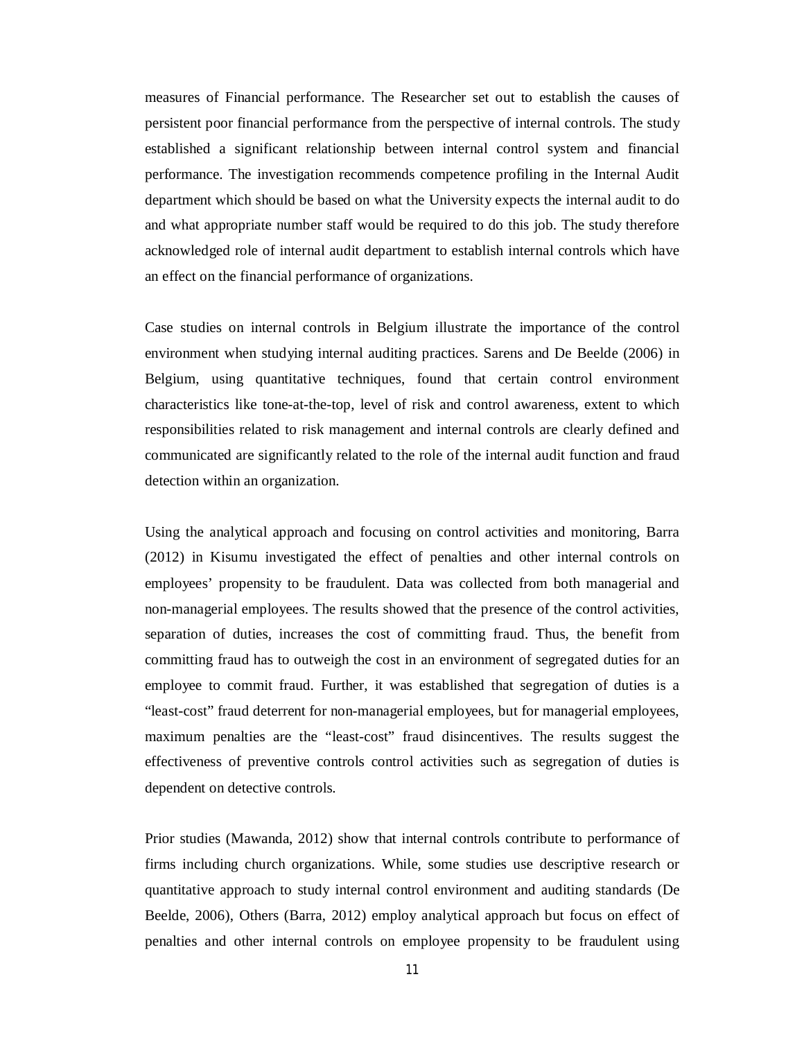measures of Financial performance. The Researcher set out to establish the causes of persistent poor financial performance from the perspective of internal controls. The study established a significant relationship between internal control system and financial performance. The investigation recommends competence profiling in the Internal Audit department which should be based on what the University expects the internal audit to do and what appropriate number staff would be required to do this job. The study therefore acknowledged role of internal audit department to establish internal controls which have an effect on the financial performance of organizations.

Case studies on internal controls in Belgium illustrate the importance of the control environment when studying internal auditing practices. Sarens and De Beelde (2006) in Belgium, using quantitative techniques, found that certain control environment characteristics like tone-at-the-top, level of risk and control awareness, extent to which responsibilities related to risk management and internal controls are clearly defined and communicated are significantly related to the role of the internal audit function and fraud detection within an organization.

Using the analytical approach and focusing on control activities and monitoring, Barra (2012) in Kisumu investigated the effect of penalties and other internal controls on employees' propensity to be fraudulent. Data was collected from both managerial and non-managerial employees. The results showed that the presence of the control activities, separation of duties, increases the cost of committing fraud. Thus, the benefit from committing fraud has to outweigh the cost in an environment of segregated duties for an employee to commit fraud. Further, it was established that segregation of duties is a "least-cost" fraud deterrent for non-managerial employees, but for managerial employees, maximum penalties are the "least-cost" fraud disincentives. The results suggest the effectiveness of preventive controls control activities such as segregation of duties is dependent on detective controls.

Prior studies (Mawanda, 2012) show that internal controls contribute to performance of firms including church organizations. While, some studies use descriptive research or quantitative approach to study internal control environment and auditing standards (De Beelde, 2006), Others (Barra, 2012) employ analytical approach but focus on effect of penalties and other internal controls on employee propensity to be fraudulent using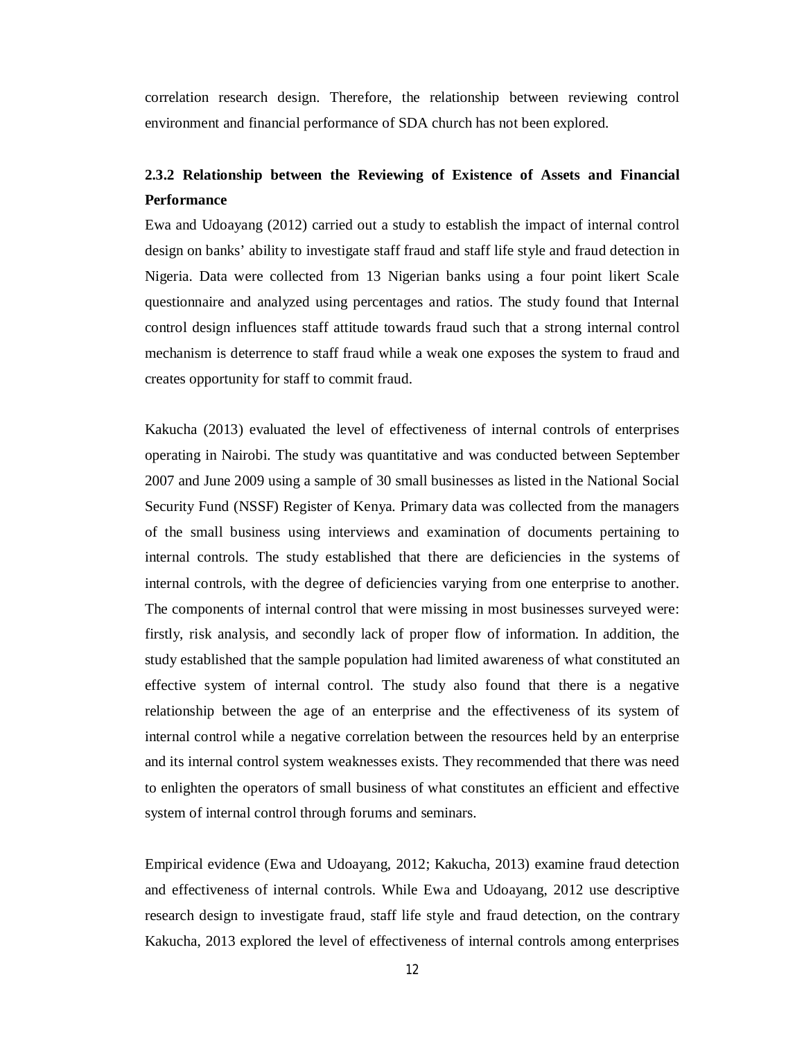correlation research design. Therefore, the relationship between reviewing control environment and financial performance of SDA church has not been explored.

## **2.3.2 Relationship between the Reviewing of Existence of Assets and Financial Performance**

Ewa and Udoayang (2012) carried out a study to establish the impact of internal control design on banks' ability to investigate staff fraud and staff life style and fraud detection in Nigeria. Data were collected from 13 Nigerian banks using a four point likert Scale questionnaire and analyzed using percentages and ratios. The study found that Internal control design influences staff attitude towards fraud such that a strong internal control mechanism is deterrence to staff fraud while a weak one exposes the system to fraud and creates opportunity for staff to commit fraud.

Kakucha (2013) evaluated the level of effectiveness of internal controls of enterprises operating in Nairobi. The study was quantitative and was conducted between September 2007 and June 2009 using a sample of 30 small businesses as listed in the National Social Security Fund (NSSF) Register of Kenya. Primary data was collected from the managers of the small business using interviews and examination of documents pertaining to internal controls. The study established that there are deficiencies in the systems of internal controls, with the degree of deficiencies varying from one enterprise to another. The components of internal control that were missing in most businesses surveyed were: firstly, risk analysis, and secondly lack of proper flow of information. In addition, the study established that the sample population had limited awareness of what constituted an effective system of internal control. The study also found that there is a negative relationship between the age of an enterprise and the effectiveness of its system of internal control while a negative correlation between the resources held by an enterprise and its internal control system weaknesses exists. They recommended that there was need to enlighten the operators of small business of what constitutes an efficient and effective system of internal control through forums and seminars.

Empirical evidence (Ewa and Udoayang, 2012; Kakucha, 2013) examine fraud detection and effectiveness of internal controls. While Ewa and Udoayang, 2012 use descriptive research design to investigate fraud, staff life style and fraud detection, on the contrary Kakucha, 2013 explored the level of effectiveness of internal controls among enterprises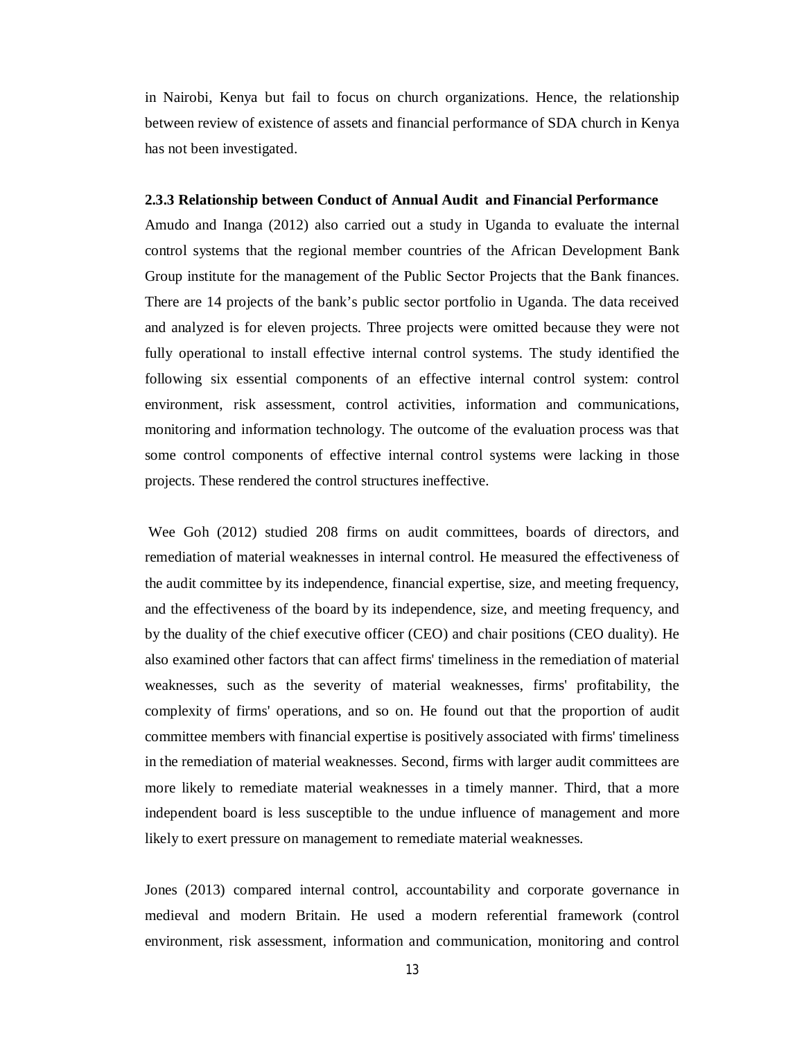in Nairobi, Kenya but fail to focus on church organizations. Hence, the relationship between review of existence of assets and financial performance of SDA church in Kenya has not been investigated.

#### **2.3.3 Relationship between Conduct of Annual Audit and Financial Performance**

Amudo and Inanga (2012) also carried out a study in Uganda to evaluate the internal control systems that the regional member countries of the African Development Bank Group institute for the management of the Public Sector Projects that the Bank finances. There are 14 projects of the bank's public sector portfolio in Uganda. The data received and analyzed is for eleven projects. Three projects were omitted because they were not fully operational to install effective internal control systems. The study identified the following six essential components of an effective internal control system: control environment, risk assessment, control activities, information and communications, monitoring and information technology. The outcome of the evaluation process was that some control components of effective internal control systems were lacking in those projects. These rendered the control structures ineffective.

Wee Goh (2012) studied 208 firms on audit committees, boards of directors, and remediation of material weaknesses in internal control. He measured the effectiveness of the audit committee by its independence, financial expertise, size, and meeting frequency, and the effectiveness of the board by its independence, size, and meeting frequency, and by the duality of the chief executive officer (CEO) and chair positions (CEO duality). He also examined other factors that can affect firms' timeliness in the remediation of material weaknesses, such as the severity of material weaknesses, firms' profitability, the complexity of firms' operations, and so on. He found out that the proportion of audit committee members with financial expertise is positively associated with firms' timeliness in the remediation of material weaknesses. Second, firms with larger audit committees are more likely to remediate material weaknesses in a timely manner. Third, that a more independent board is less susceptible to the undue influence of management and more likely to exert pressure on management to remediate material weaknesses.

Jones (2013) compared internal control, accountability and corporate governance in medieval and modern Britain. He used a modern referential framework (control environment, risk assessment, information and communication, monitoring and control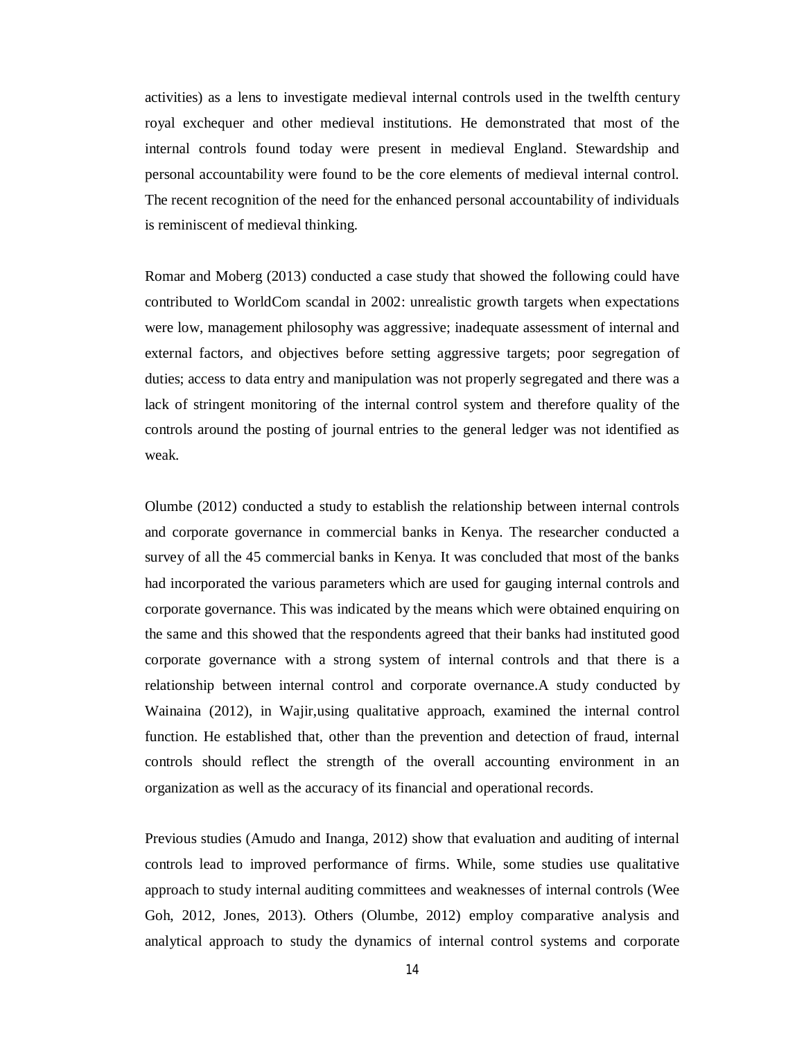activities) as a lens to investigate medieval internal controls used in the twelfth century royal exchequer and other medieval institutions. He demonstrated that most of the internal controls found today were present in medieval England. Stewardship and personal accountability were found to be the core elements of medieval internal control. The recent recognition of the need for the enhanced personal accountability of individuals is reminiscent of medieval thinking.

Romar and Moberg (2013) conducted a case study that showed the following could have contributed to WorldCom scandal in 2002: unrealistic growth targets when expectations were low, management philosophy was aggressive; inadequate assessment of internal and external factors, and objectives before setting aggressive targets; poor segregation of duties; access to data entry and manipulation was not properly segregated and there was a lack of stringent monitoring of the internal control system and therefore quality of the controls around the posting of journal entries to the general ledger was not identified as weak.

Olumbe (2012) conducted a study to establish the relationship between internal controls and corporate governance in commercial banks in Kenya. The researcher conducted a survey of all the 45 commercial banks in Kenya. It was concluded that most of the banks had incorporated the various parameters which are used for gauging internal controls and corporate governance. This was indicated by the means which were obtained enquiring on the same and this showed that the respondents agreed that their banks had instituted good corporate governance with a strong system of internal controls and that there is a relationship between internal control and corporate overnance.A study conducted by Wainaina (2012), in Wajir,using qualitative approach, examined the internal control function. He established that, other than the prevention and detection of fraud, internal controls should reflect the strength of the overall accounting environment in an organization as well as the accuracy of its financial and operational records.

Previous studies (Amudo and Inanga, 2012) show that evaluation and auditing of internal controls lead to improved performance of firms. While, some studies use qualitative approach to study internal auditing committees and weaknesses of internal controls (Wee Goh, 2012, Jones, 2013). Others (Olumbe, 2012) employ comparative analysis and analytical approach to study the dynamics of internal control systems and corporate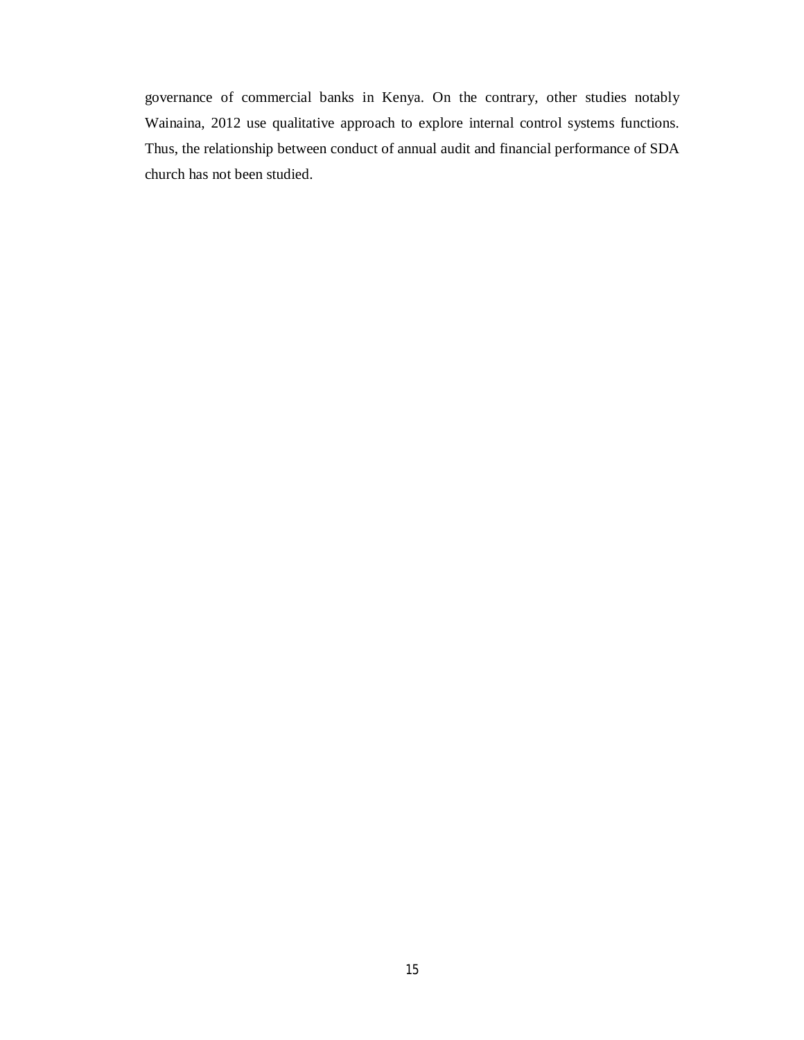governance of commercial banks in Kenya. On the contrary, other studies notably Wainaina, 2012 use qualitative approach to explore internal control systems functions. Thus, the relationship between conduct of annual audit and financial performance of SDA church has not been studied.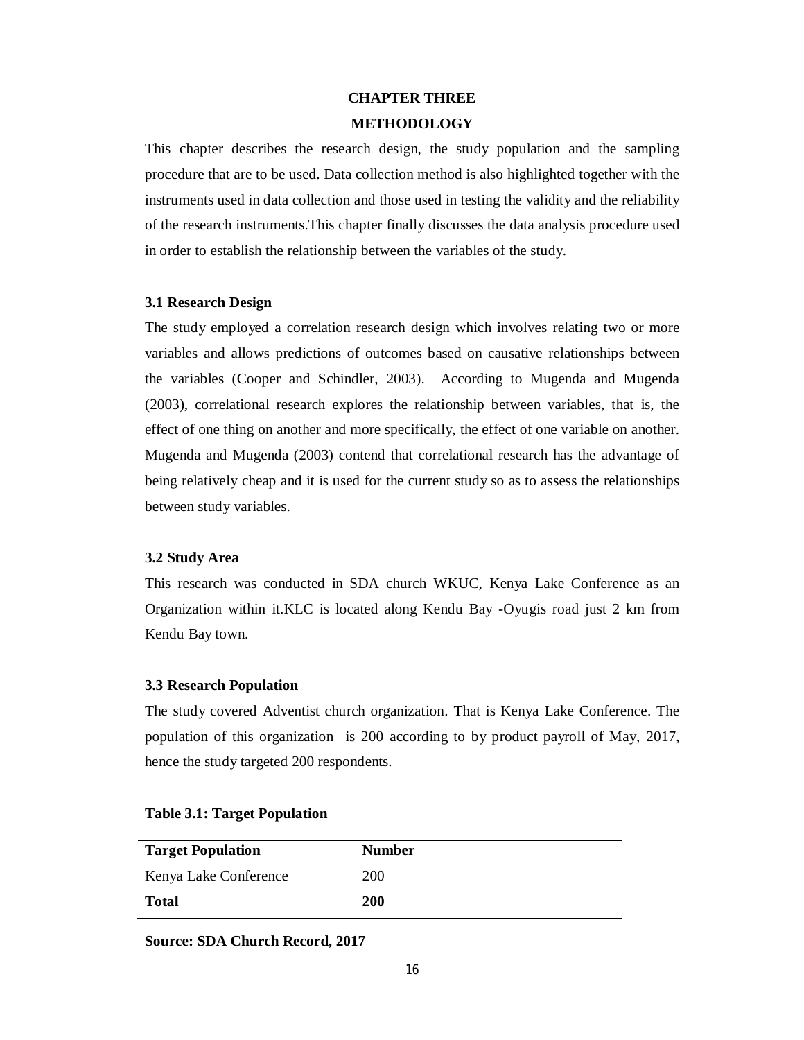## **CHAPTER THREE METHODOLOGY**

This chapter describes the research design, the study population and the sampling procedure that are to be used. Data collection method is also highlighted together with the instruments used in data collection and those used in testing the validity and the reliability of the research instruments.This chapter finally discusses the data analysis procedure used in order to establish the relationship between the variables of the study.

#### **3.1 Research Design**

The study employed a correlation research design which involves relating two or more variables and allows predictions of outcomes based on causative relationships between the variables (Cooper and Schindler, 2003). According to Mugenda and Mugenda (2003), correlational research explores the relationship between variables, that is, the effect of one thing on another and more specifically, the effect of one variable on another. Mugenda and Mugenda (2003) contend that correlational research has the advantage of being relatively cheap and it is used for the current study so as to assess the relationships between study variables.

### **3.2 Study Area**

This research was conducted in SDA church WKUC, Kenya Lake Conference as an Organization within it.KLC is located along Kendu Bay -Oyugis road just 2 km from Kendu Bay town.

### **3.3 Research Population**

The study covered Adventist church organization. That is Kenya Lake Conference. The population of this organization is 200 according to by product payroll of May, 2017, hence the study targeted 200 respondents.

| <b>Target Population</b> | <b>Number</b> |
|--------------------------|---------------|
| Kenya Lake Conference    | <b>200</b>    |
| <b>Total</b>             | 200           |

#### **Table 3.1: Target Population**

**Source: SDA Church Record, 2017**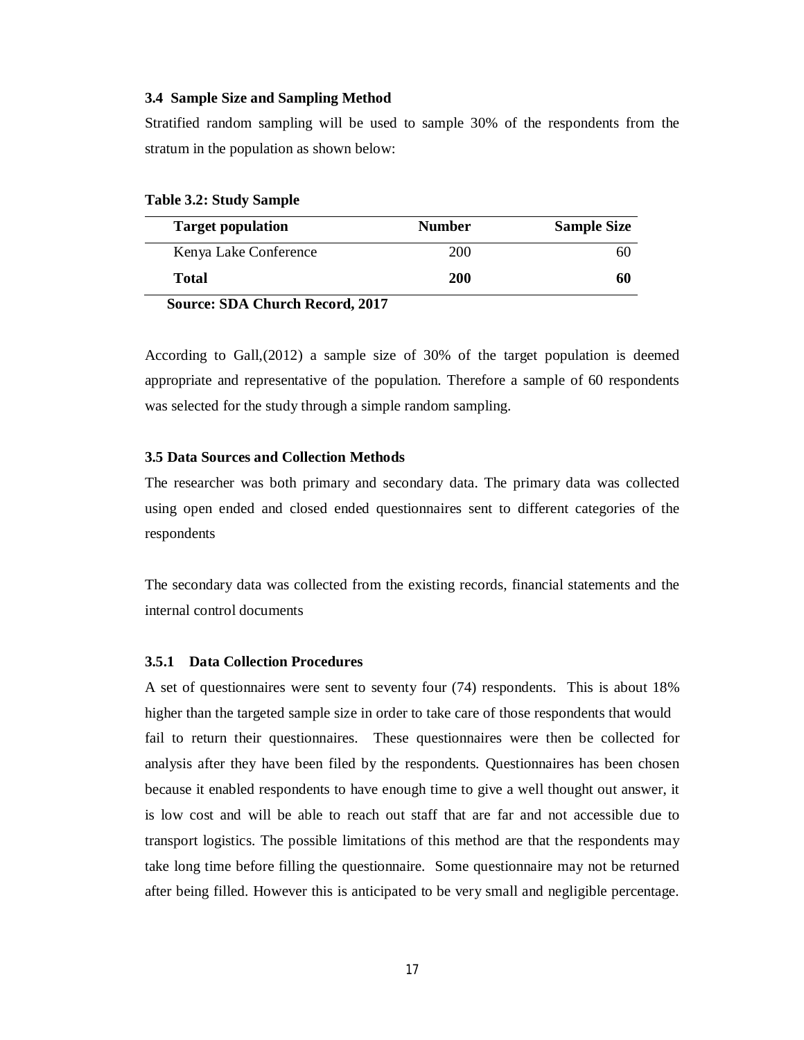#### **3.4 Sample Size and Sampling Method**

Stratified random sampling will be used to sample 30% of the respondents from the stratum in the population as shown below:

**Table 3.2: Study Sample**

| <b>Target population</b> | <b>Number</b> | <b>Sample Size</b> |
|--------------------------|---------------|--------------------|
| Kenya Lake Conference    | 200           | 60                 |
| Total                    | 200           | 60                 |

**Source: SDA Church Record, 2017**

According to Gall,(2012) a sample size of 30% of the target population is deemed appropriate and representative of the population. Therefore a sample of 60 respondents was selected for the study through a simple random sampling.

#### **3.5 Data Sources and Collection Methods**

The researcher was both primary and secondary data. The primary data was collected using open ended and closed ended questionnaires sent to different categories of the respondents

The secondary data was collected from the existing records, financial statements and the internal control documents

#### **3.5.1 Data Collection Procedures**

A set of questionnaires were sent to seventy four (74) respondents. This is about 18% higher than the targeted sample size in order to take care of those respondents that would fail to return their questionnaires. These questionnaires were then be collected for analysis after they have been filed by the respondents. Questionnaires has been chosen because it enabled respondents to have enough time to give a well thought out answer, it is low cost and will be able to reach out staff that are far and not accessible due to transport logistics. The possible limitations of this method are that the respondents may take long time before filling the questionnaire. Some questionnaire may not be returned after being filled. However this is anticipated to be very small and negligible percentage.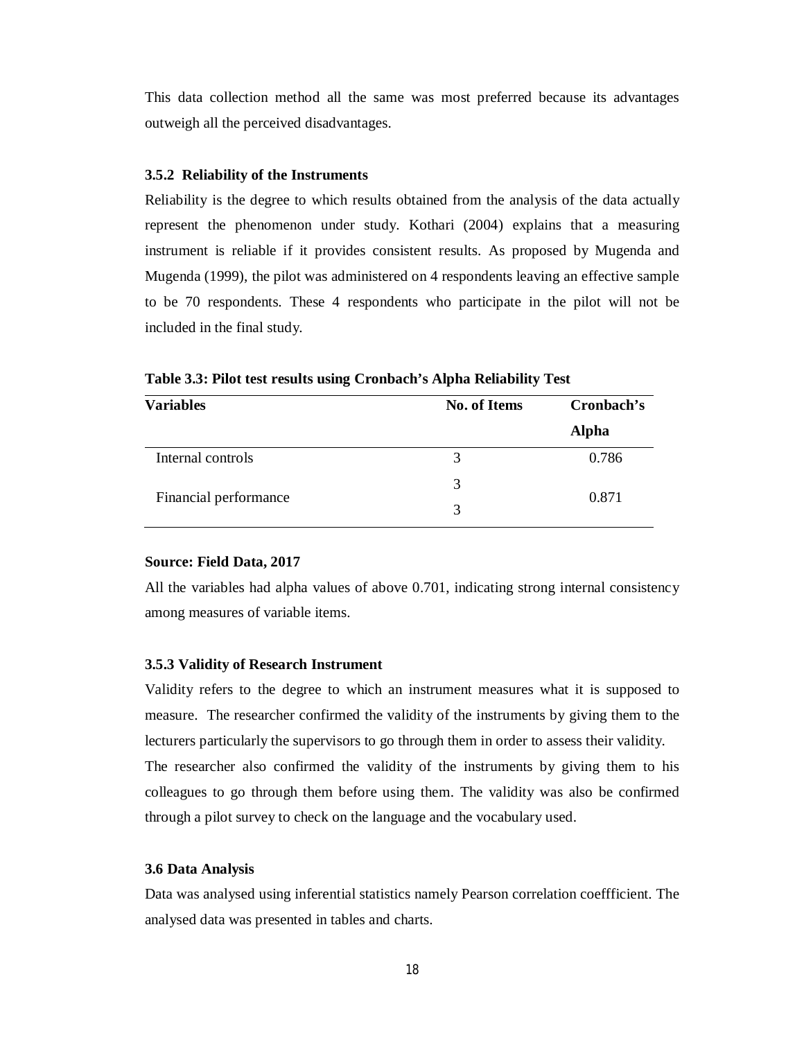This data collection method all the same was most preferred because its advantages outweigh all the perceived disadvantages.

#### **3.5.2 Reliability of the Instruments**

Reliability is the degree to which results obtained from the analysis of the data actually represent the phenomenon under study. Kothari (2004) explains that a measuring instrument is reliable if it provides consistent results. As proposed by Mugenda and Mugenda (1999), the pilot was administered on 4 respondents leaving an effective sample to be 70 respondents. These 4 respondents who participate in the pilot will not be included in the final study.

| <b>Variables</b>      | <b>No. of Items</b> | Cronbach's   |  |
|-----------------------|---------------------|--------------|--|
|                       |                     | <b>Alpha</b> |  |
| Internal controls     | 3                   | 0.786        |  |
|                       | 3                   |              |  |
| Financial performance | 3                   | 0.871        |  |

**Table 3.3: Pilot test results using Cronbach's Alpha Reliability Test** 

#### **Source: Field Data, 2017**

All the variables had alpha values of above 0.701, indicating strong internal consistency among measures of variable items.

### **3.5.3 Validity of Research Instrument**

Validity refers to the degree to which an instrument measures what it is supposed to measure. The researcher confirmed the validity of the instruments by giving them to the lecturers particularly the supervisors to go through them in order to assess their validity. The researcher also confirmed the validity of the instruments by giving them to his colleagues to go through them before using them. The validity was also be confirmed through a pilot survey to check on the language and the vocabulary used.

#### **3.6 Data Analysis**

Data was analysed using inferential statistics namely Pearson correlation coeffficient. The analysed data was presented in tables and charts.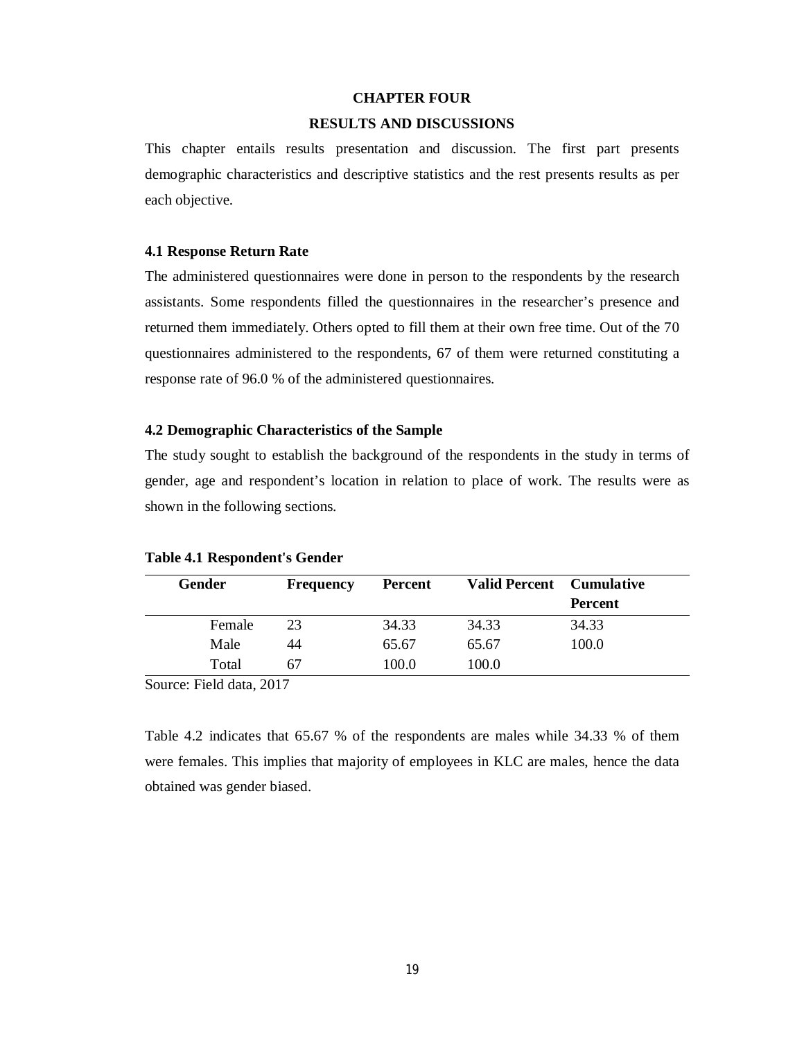#### **CHAPTER FOUR**

#### **RESULTS AND DISCUSSIONS**

This chapter entails results presentation and discussion. The first part presents demographic characteristics and descriptive statistics and the rest presents results as per each objective.

#### **4.1 Response Return Rate**

The administered questionnaires were done in person to the respondents by the research assistants. Some respondents filled the questionnaires in the researcher's presence and returned them immediately. Others opted to fill them at their own free time. Out of the 70 questionnaires administered to the respondents, 67 of them were returned constituting a response rate of 96.0 % of the administered questionnaires.

#### **4.2 Demographic Characteristics of the Sample**

The study sought to establish the background of the respondents in the study in terms of gender, age and respondent's location in relation to place of work. The results were as shown in the following sections.

| Gender | <b>Frequency</b> | Percent | <b>Valid Percent</b> Cumulative |                |
|--------|------------------|---------|---------------------------------|----------------|
|        |                  |         |                                 | <b>Percent</b> |
| Female | 23               | 34.33   | 34.33                           | 34.33          |
| Male   | 44               | 65.67   | 65.67                           | 100.0          |
| Total  | 67               | 100.0   | 100.0                           |                |

#### **Table 4.1 Respondent's Gender**

Source: Field data, 2017

Table 4.2 indicates that 65.67 % of the respondents are males while 34.33 % of them were females. This implies that majority of employees in KLC are males, hence the data obtained was gender biased.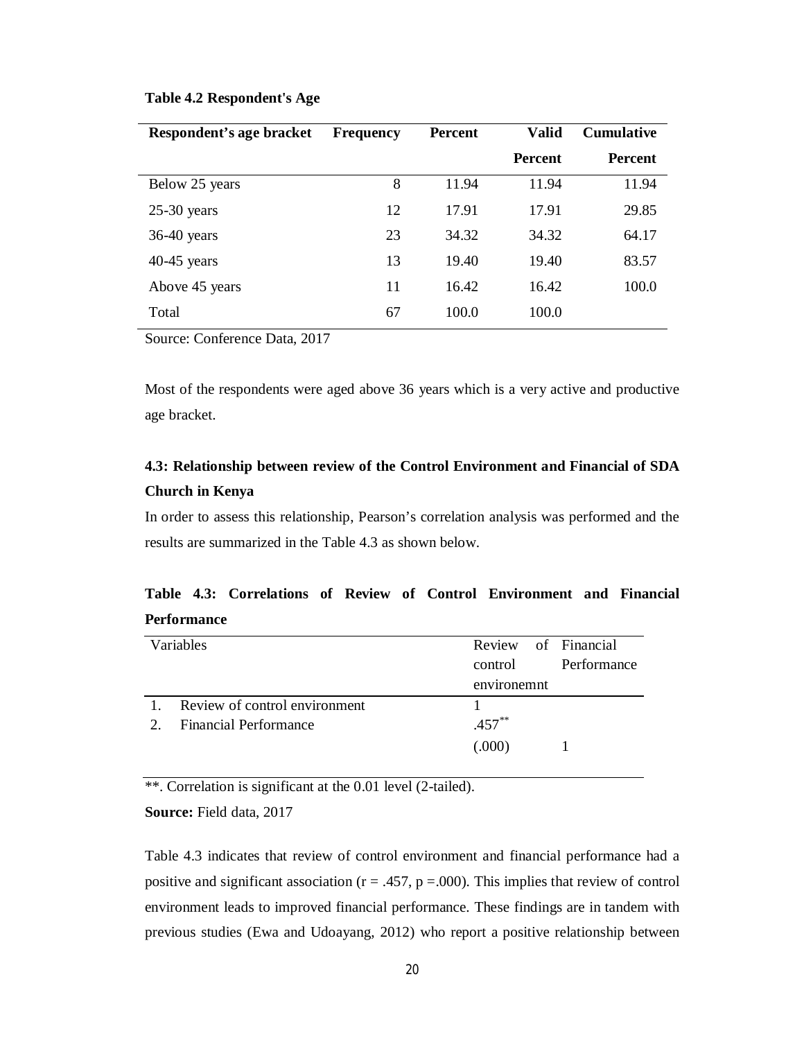### **Table 4.2 Respondent's Age**

| Respondent's age bracket | <b>Frequency</b> | <b>Percent</b> | <b>Valid</b>   | <b>Cumulative</b> |
|--------------------------|------------------|----------------|----------------|-------------------|
|                          |                  |                | <b>Percent</b> | <b>Percent</b>    |
| Below 25 years           | 8                | 11.94          | 11.94          | 11.94             |
| $25-30$ years            | 12               | 17.91          | 17.91          | 29.85             |
| $36-40$ years            | 23               | 34.32          | 34.32          | 64.17             |
| $40-45$ years            | 13               | 19.40          | 19.40          | 83.57             |
| Above 45 years           | 11               | 16.42          | 16.42          | 100.0             |
| Total                    | 67               | 100.0          | 100.0          |                   |

Source: Conference Data, 2017

Most of the respondents were aged above 36 years which is a very active and productive age bracket.

## **4.3: Relationship between review of the Control Environment and Financial of SDA Church in Kenya**

In order to assess this relationship, Pearson's correlation analysis was performed and the results are summarized in the Table 4.3 as shown below.

|                    |  |  |  | Table 4.3: Correlations of Review of Control Environment and Financial |  |
|--------------------|--|--|--|------------------------------------------------------------------------|--|
| <b>Performance</b> |  |  |  |                                                                        |  |

|               | Variables                     | Review of Financial |             |
|---------------|-------------------------------|---------------------|-------------|
|               |                               | control             | Performance |
|               |                               | environemnt         |             |
|               | Review of control environment |                     |             |
| $\mathcal{D}$ | <b>Financial Performance</b>  | $.457***$           |             |
|               |                               | (.000)              |             |

\*\*. Correlation is significant at the 0.01 level (2-tailed).

**Source:** Field data, 2017

Table 4.3 indicates that review of control environment and financial performance had a positive and significant association ( $r = .457$ ,  $p = .000$ ). This implies that review of control environment leads to improved financial performance. These findings are in tandem with previous studies (Ewa and Udoayang, 2012) who report a positive relationship between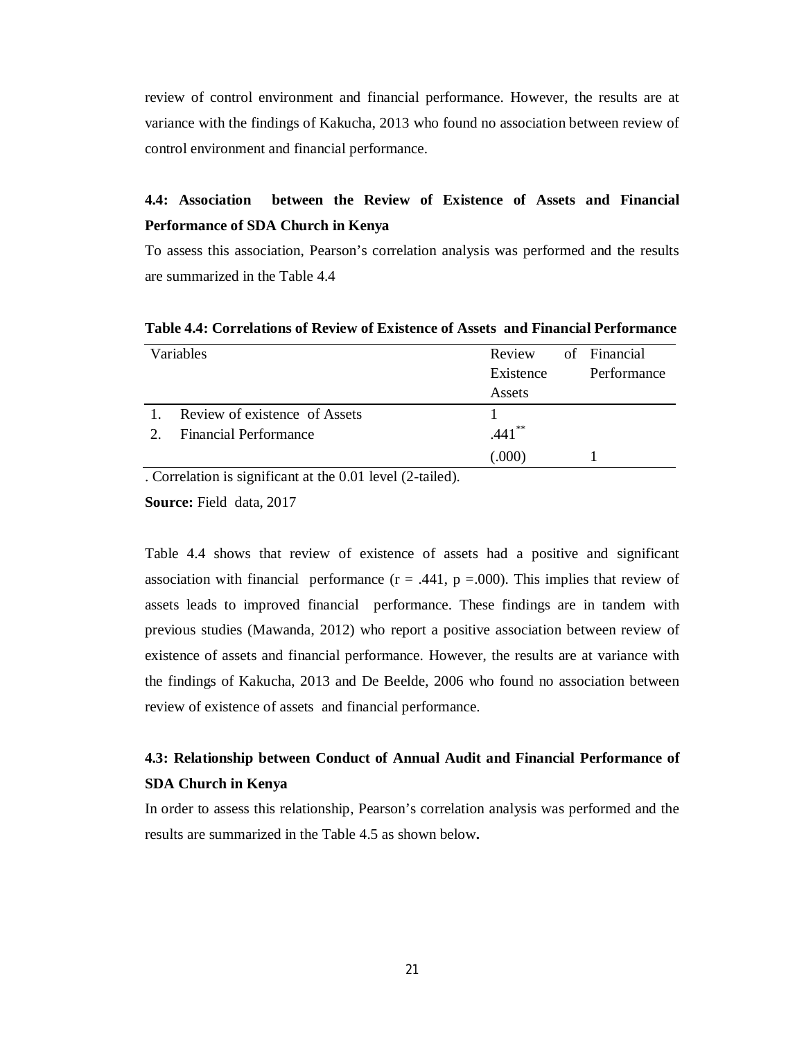review of control environment and financial performance. However, the results are at variance with the findings of Kakucha, 2013 who found no association between review of control environment and financial performance.

## **4.4: Association between the Review of Existence of Assets and Financial Performance of SDA Church in Kenya**

To assess this association, Pearson's correlation analysis was performed and the results are summarized in the Table 4.4

|               | Variables                     | Review    | of Financial |
|---------------|-------------------------------|-----------|--------------|
|               |                               | Existence | Performance  |
|               |                               | Assets    |              |
|               | Review of existence of Assets |           |              |
| $\mathcal{D}$ | <b>Financial Performance</b>  | $441$ **  |              |
|               |                               | (.000)    |              |

**Table 4.4: Correlations of Review of Existence of Assets and Financial Performance**

. Correlation is significant at the 0.01 level (2-tailed).

**Source:** Field data, 2017

Table 4.4 shows that review of existence of assets had a positive and significant association with financial performance  $(r = .441, p = .000)$ . This implies that review of assets leads to improved financial performance. These findings are in tandem with previous studies (Mawanda, 2012) who report a positive association between review of existence of assets and financial performance. However, the results are at variance with the findings of Kakucha, 2013 and De Beelde, 2006 who found no association between review of existence of assets and financial performance.

## **4.3: Relationship between Conduct of Annual Audit and Financial Performance of SDA Church in Kenya**

In order to assess this relationship, Pearson's correlation analysis was performed and the results are summarized in the Table 4.5 as shown below**.**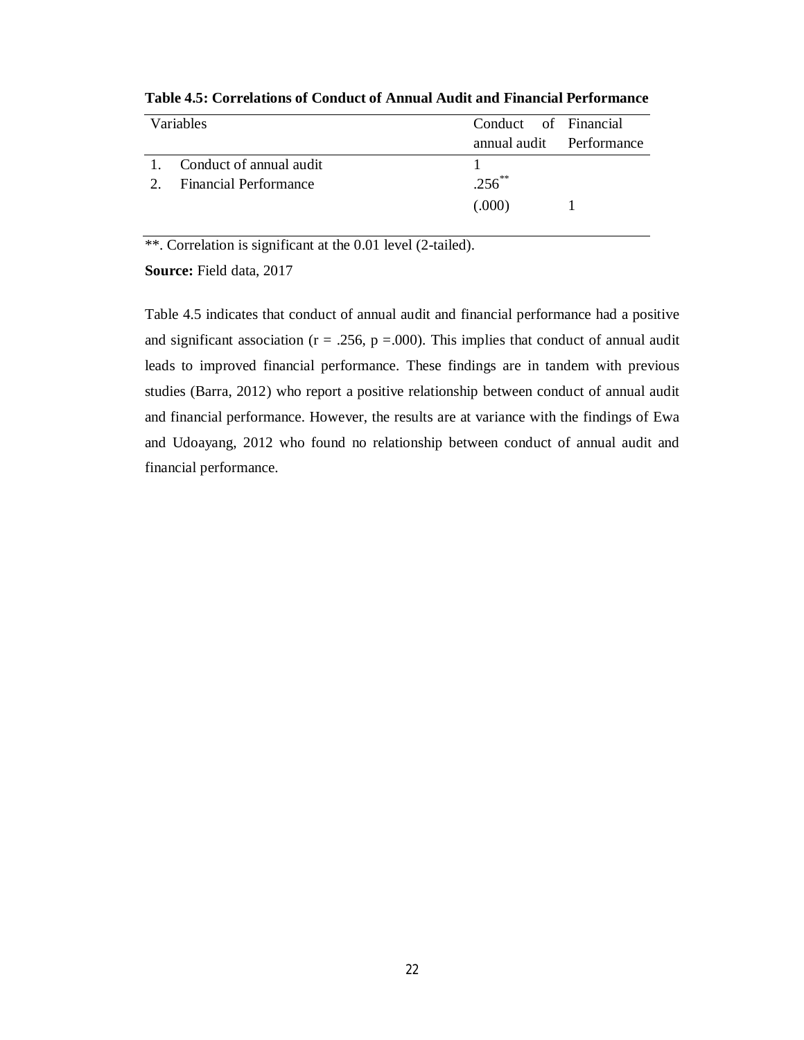| <b>Variables</b>           | Conduct of Financial     |  |
|----------------------------|--------------------------|--|
|                            | annual audit Performance |  |
| 1. Conduct of annual audit |                          |  |
| 2. Financial Performance   | $.256$ **                |  |
|                            | (.000)                   |  |

**Table 4.5: Correlations of Conduct of Annual Audit and Financial Performance**

\*\*. Correlation is significant at the 0.01 level (2-tailed).

**Source:** Field data, 2017

Table 4.5 indicates that conduct of annual audit and financial performance had a positive and significant association ( $r = .256$ ,  $p = .000$ ). This implies that conduct of annual audit leads to improved financial performance. These findings are in tandem with previous studies (Barra, 2012) who report a positive relationship between conduct of annual audit and financial performance. However, the results are at variance with the findings of Ewa and Udoayang, 2012 who found no relationship between conduct of annual audit and financial performance.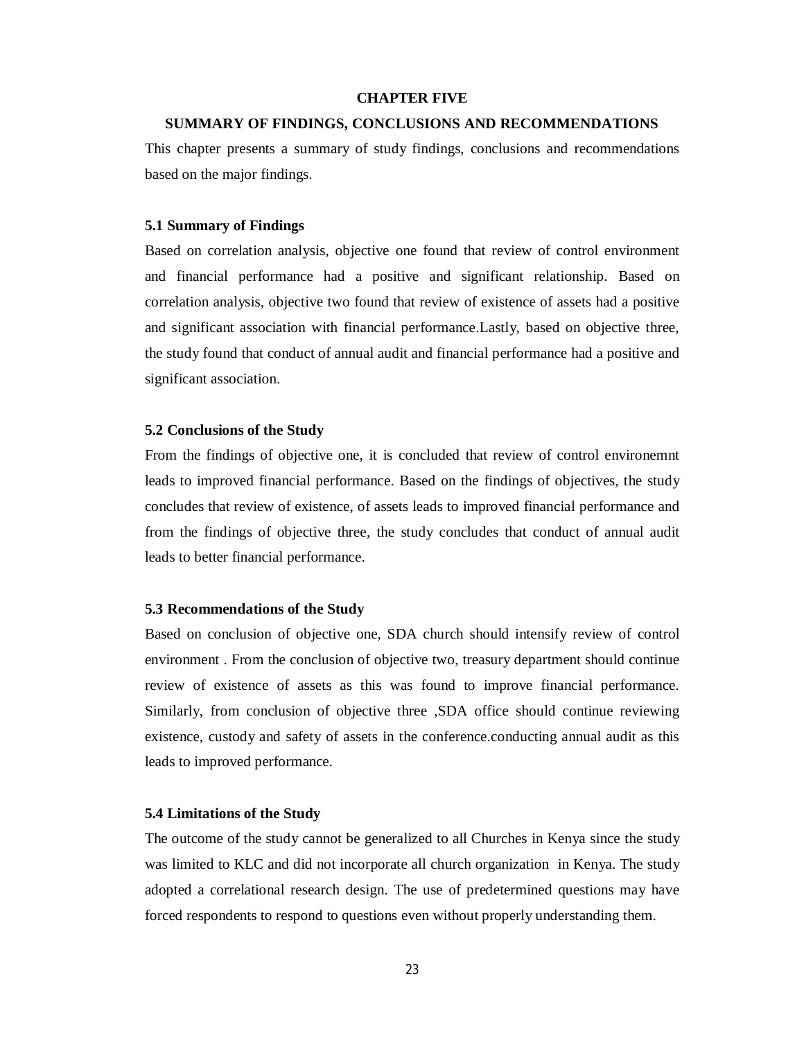#### **CHAPTER FIVE**

#### **SUMMARY OF FINDINGS, CONCLUSIONS AND RECOMMENDATIONS**

This chapter presents a summary of study findings, conclusions and recommendations based on the major findings.

#### **5.1 Summary of Findings**

Based on correlation analysis, objective one found that review of control environment and financial performance had a positive and significant relationship. Based on correlation analysis, objective two found that review of existence of assets had a positive and significant association with financial performance.Lastly, based on objective three, the study found that conduct of annual audit and financial performance had a positive and significant association.

#### **5.2 Conclusions of the Study**

From the findings of objective one, it is concluded that review of control environemnt leads to improved financial performance. Based on the findings of objectives, the study concludes that review of existence, of assets leads to improved financial performance and from the findings of objective three, the study concludes that conduct of annual audit leads to better financial performance.

### **5.3 Recommendations of the Study**

Based on conclusion of objective one, SDA church should intensify review of control environment . From the conclusion of objective two, treasury department should continue review of existence of assets as this was found to improve financial performance. Similarly, from conclusion of objective three ,SDA office should continue reviewing existence, custody and safety of assets in the conference.conducting annual audit as this leads to improved performance.

#### **5.4 Limitations of the Study**

The outcome of the study cannot be generalized to all Churches in Kenya since the study was limited to KLC and did not incorporate all church organization in Kenya. The study adopted a correlational research design. The use of predetermined questions may have forced respondents to respond to questions even without properly understanding them.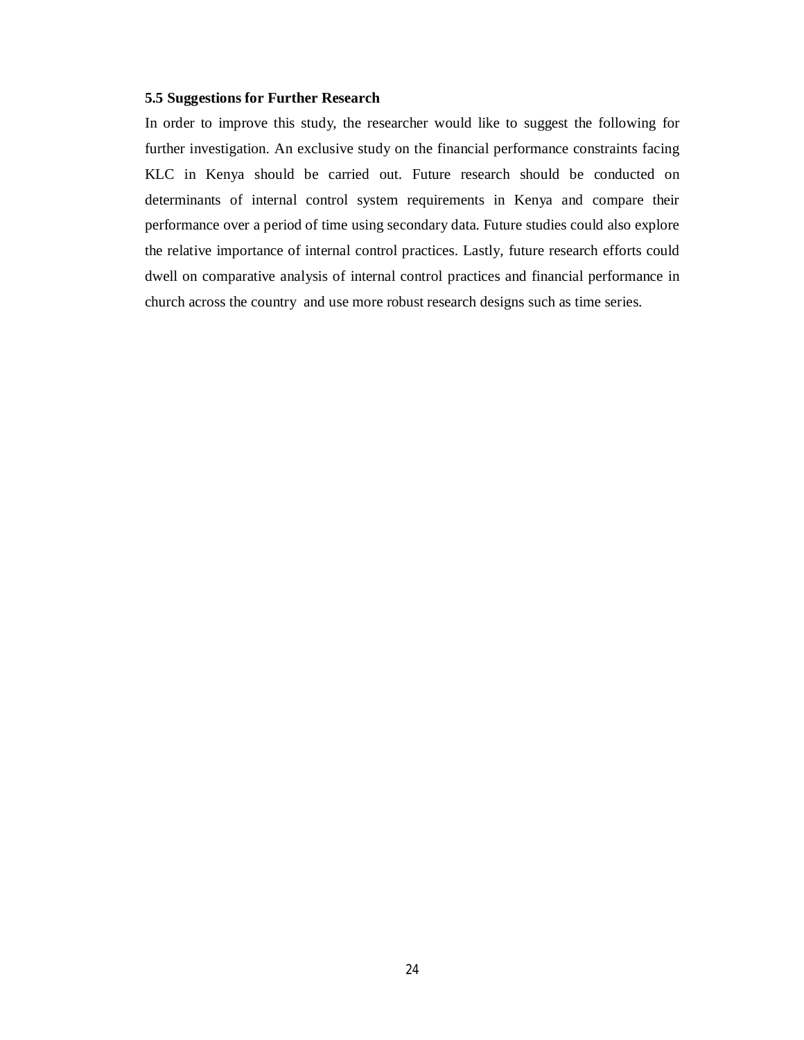#### **5.5 Suggestions for Further Research**

In order to improve this study, the researcher would like to suggest the following for further investigation. An exclusive study on the financial performance constraints facing KLC in Kenya should be carried out. Future research should be conducted on determinants of internal control system requirements in Kenya and compare their performance over a period of time using secondary data. Future studies could also explore the relative importance of internal control practices. Lastly, future research efforts could dwell on comparative analysis of internal control practices and financial performance in church across the country and use more robust research designs such as time series.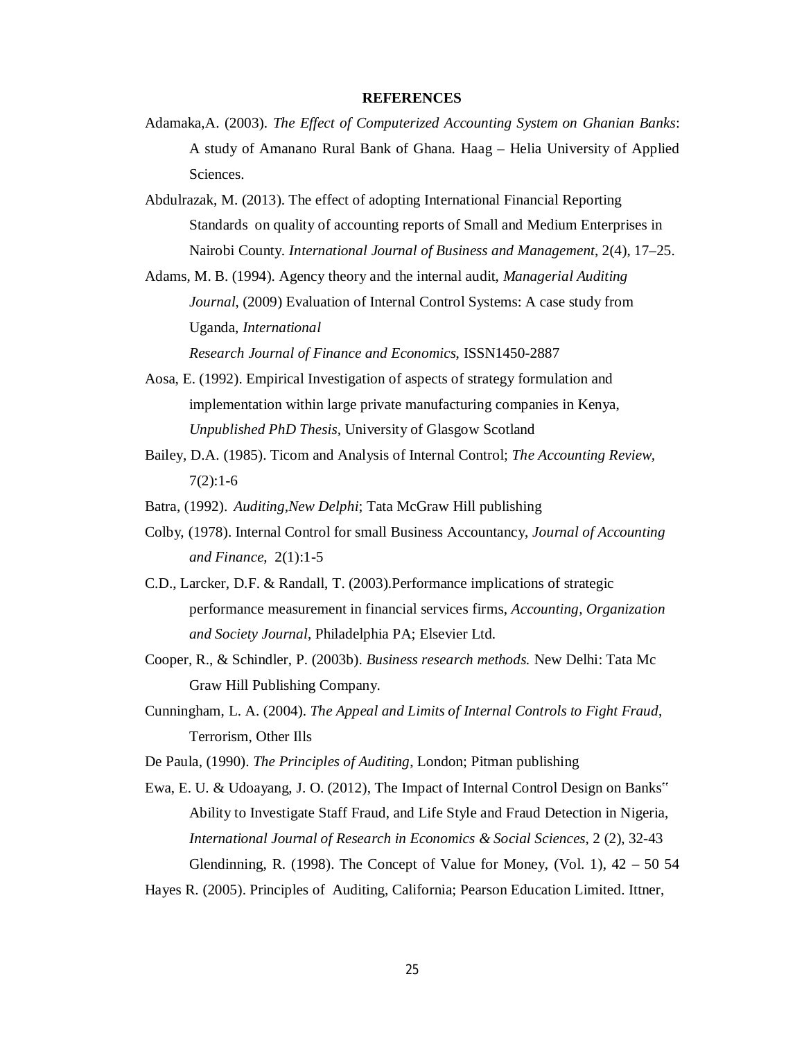#### **REFERENCES**

- Adamaka,A. (2003). *The Effect of Computerized Accounting System on Ghanian Banks*: A study of Amanano Rural Bank of Ghana. Haag – Helia University of Applied Sciences.
- Abdulrazak, M. (2013). The effect of adopting International Financial Reporting Standards on quality of accounting reports of Small and Medium Enterprises in Nairobi County. *International Journal of Business and Management*, 2(4), 17–25.
- Adams, M. B. (1994). Agency theory and the internal audit, *Managerial Auditing Journal*, (2009) Evaluation of Internal Control Systems: A case study from Uganda, *International*

*Research Journal of Finance and Economics*, ISSN1450-2887

- Aosa, E. (1992). Empirical Investigation of aspects of strategy formulation and implementation within large private manufacturing companies in Kenya, *Unpublished PhD Thesis,* University of Glasgow Scotland
- Bailey, D.A. (1985). Ticom and Analysis of Internal Control; *The Accounting Review,*  7(2):1-6
- Batra, (1992). *Auditing,New Delphi*; Tata McGraw Hill publishing
- Colby, (1978). Internal Control for small Business Accountancy, *Journal of Accounting and Finance*, 2(1):1-5
- C.D., Larcker, D.F. & Randall, T. (2003).Performance implications of strategic performance measurement in financial services firms, *Accounting, Organization and Society Journal*, Philadelphia PA; Elsevier Ltd.
- Cooper, R., & Schindler, P. (2003b). *Business research methods.* New Delhi: Tata Mc Graw Hill Publishing Company.
- Cunningham, L. A. (2004). *The Appeal and Limits of Internal Controls to Fight Fraud*, Terrorism, Other Ills

De Paula, (1990). *The Principles of Auditing*, London; Pitman publishing

Ewa, E. U. & Udoayang, J. O. (2012), The Impact of Internal Control Design on Banks" Ability to Investigate Staff Fraud, and Life Style and Fraud Detection in Nigeria, *International Journal of Research in Economics & Social Sciences*, 2 (2), 32-43 Glendinning, R. (1998). The Concept of Value for Money, (Vol. 1),  $42 - 50$  54

Hayes R. (2005). Principles of Auditing, California; Pearson Education Limited. Ittner,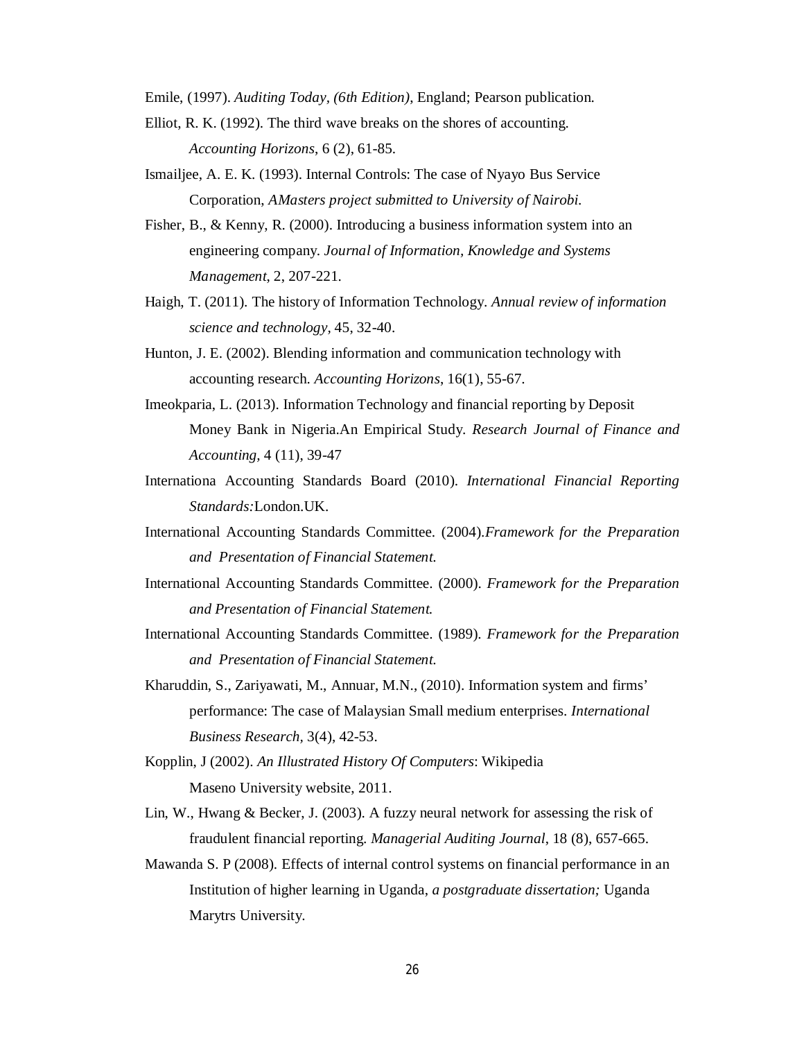Emile, (1997). *Auditing Today, (6th Edition)*, England; Pearson publication.

- Elliot, R. K. (1992). The third wave breaks on the shores of accounting. *Accounting Horizons*, 6 (2), 61-85.
- Ismailjee, A. E. K. (1993). Internal Controls: The case of Nyayo Bus Service Corporation, *AMasters project submitted to University of Nairobi.*
- Fisher, B., & Kenny, R. (2000). Introducing a business information system into an engineering company. *Journal of Information, Knowledge and Systems Management*, 2, 207-221.
- Haigh, T. (2011). The history of Information Technology. *Annual review of information science and technology,* 45, 32-40.
- Hunton, J. E. (2002). Blending information and communication technology with accounting research. *Accounting Horizons*, 16(1), 55-67.
- Imeokparia, L. (2013). Information Technology and financial reporting by Deposit Money Bank in Nigeria.An Empirical Study. *Research Journal of Finance and Accounting,* 4 (11), 39-47
- Internationa Accounting Standards Board (2010). *International Financial Reporting Standards:*London.UK.
- International Accounting Standards Committee. (2004).*Framework for the Preparation and Presentation of Financial Statement.*
- International Accounting Standards Committee. (2000). *Framework for the Preparation and Presentation of Financial Statement.*
- International Accounting Standards Committee. (1989). *Framework for the Preparation and Presentation of Financial Statement.*
- Kharuddin, S., Zariyawati, M., Annuar, M.N., (2010). Information system and firms' performance: The case of Malaysian Small medium enterprises. *International Business Research,* 3(4), 42-53.

Kopplin, J (2002). *An Illustrated History Of Computers*: Wikipedia Maseno University website, 2011.

- Lin, W., Hwang & Becker, J. (2003). A fuzzy neural network for assessing the risk of fraudulent financial reporting. *Managerial Auditing Journal*, 18 (8), 657-665.
- Mawanda S. P (2008). Effects of internal control systems on financial performance in an Institution of higher learning in Uganda, *a postgraduate dissertation;* Uganda Marytrs University.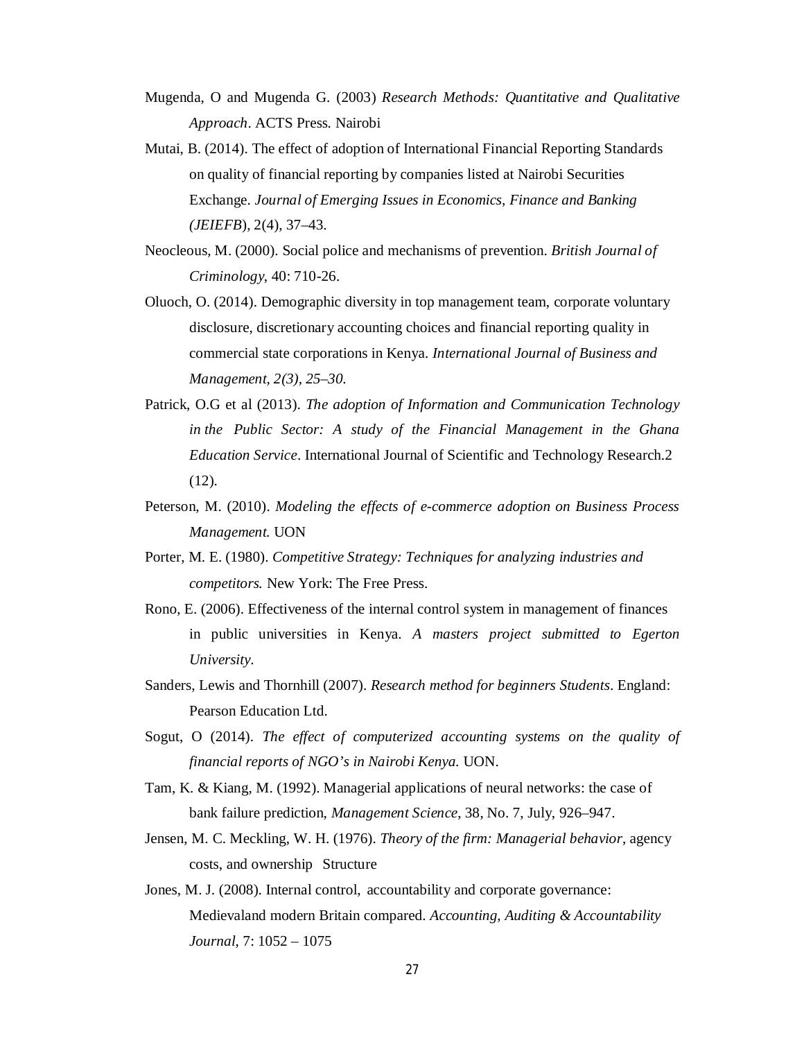- Mugenda, O and Mugenda G. (2003) *Research Methods: Quantitative and Qualitative Approach*. ACTS Press. Nairobi
- Mutai, B. (2014). The effect of adoption of International Financial Reporting Standards on quality of financial reporting by companies listed at Nairobi Securities Exchange. *Journal of Emerging Issues in Economics, Finance and Banking (JEIEFB*), 2(4), 37–43.
- Neocleous, M. (2000). Social police and mechanisms of prevention. *British Journal of Criminology*, 40: 710-26.
- Oluoch, O. (2014). Demographic diversity in top management team, corporate voluntary disclosure, discretionary accounting choices and financial reporting quality in commercial state corporations in Kenya. *International Journal of Business and Management, 2(3), 25–30.*
- Patrick, O.G et al (2013). *The adoption of Information and Communication Technology in the Public Sector: A study of the Financial Management in the Ghana Education Service*. International Journal of Scientific and Technology Research.2  $(12)$ .
- Peterson, M. (2010). *Modeling the effects of e-commerce adoption on Business Process Management.* UON
- Porter, M. E. (1980). *Competitive Strategy: Techniques for analyzing industries and competitors.* New York: The Free Press.
- Rono, E. (2006). Effectiveness of the internal control system in management of finances in public universities in Kenya. *A masters project submitted to Egerton University.*
- Sanders, Lewis and Thornhill (2007). *Research method for beginners Students*. England: Pearson Education Ltd.
- Sogut, O (2014). *The effect of computerized accounting systems on the quality of financial reports of NGO's in Nairobi Kenya.* UON.
- Tam, K. & Kiang, M. (1992). Managerial applications of neural networks: the case of bank failure prediction, *Management Science*, 38, No. 7, July, 926–947.
- Jensen, M. C. Meckling, W. H. (1976). *Theory of the firm: Managerial behavior*, agency costs, and ownership Structure
- Jones, M. J. (2008). Internal control, accountability and corporate governance: Medievaland modern Britain compared. *Accounting, Auditing & Accountability Journal*, 7: 1052 – 1075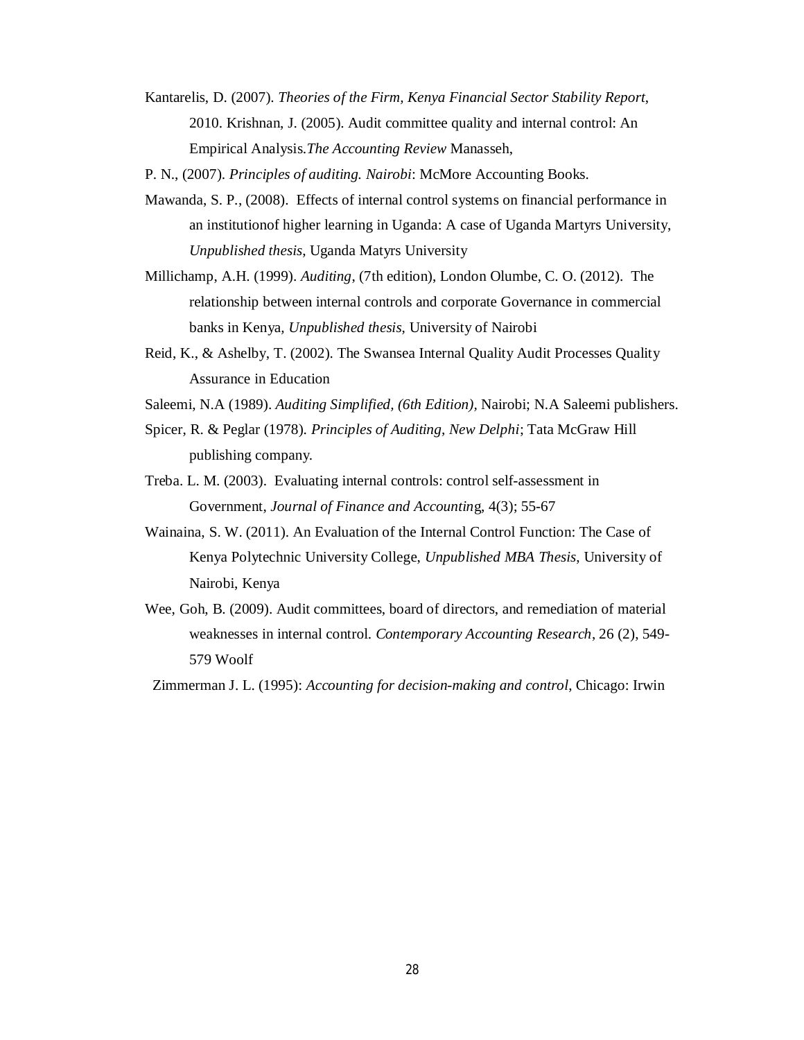Kantarelis, D. (2007). *Theories of the Firm, Kenya Financial Sector Stability Report*, 2010. Krishnan, J. (2005). Audit committee quality and internal control: An Empirical Analysis.*The Accounting Review* Manasseh,

P. N., (2007). *Principles of auditing. Nairobi*: McMore Accounting Books.

- Mawanda, S. P., (2008). Effects of internal control systems on financial performance in an institutionof higher learning in Uganda: A case of Uganda Martyrs University, *Unpublished thesis*, Uganda Matyrs University
- Millichamp, A.H. (1999). *Auditing*, (7th edition), London Olumbe, C. O. (2012). The relationship between internal controls and corporate Governance in commercial banks in Kenya*, Unpublished thesis*, University of Nairobi
- Reid, K., & Ashelby, T. (2002). The Swansea Internal Quality Audit Processes Quality Assurance in Education
- Saleemi, N.A (1989). *Auditing Simplified, (6th Edition),* Nairobi; N.A Saleemi publishers.
- Spicer, R. & Peglar (1978). *Principles of Auditing, New Delphi*; Tata McGraw Hill publishing company.
- Treba. L. M. (2003). Evaluating internal controls: control self-assessment in Government, *Journal of Finance and Accountin*g, 4(3); 55-67
- Wainaina, S. W. (2011). An Evaluation of the Internal Control Function: The Case of Kenya Polytechnic University College, *Unpublished MBA Thesis*, University of Nairobi, Kenya
- Wee, Goh, B. (2009). Audit committees, board of directors, and remediation of material weaknesses in internal control. *Contemporary Accounting Research*, 26 (2), 549- 579 Woolf

Zimmerman J. L. (1995): *Accounting for decision-making and control*, Chicago: Irwin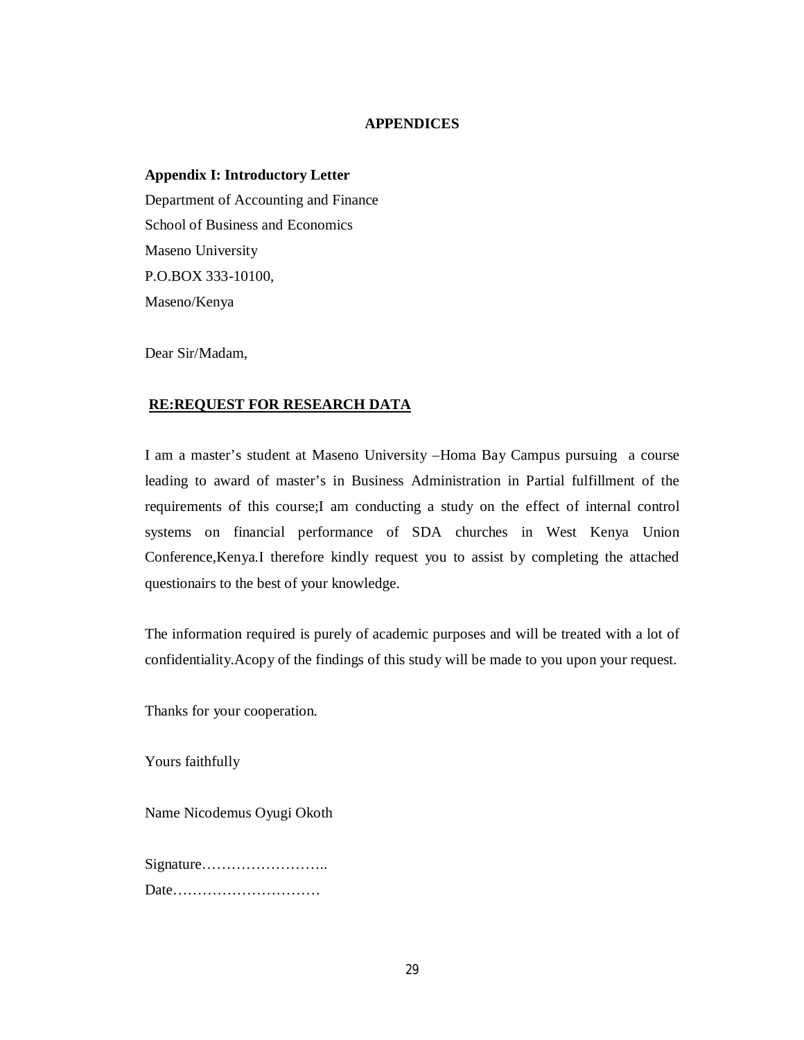### **APPENDICES**

#### **Appendix I: Introductory Letter**

Department of Accounting and Finance School of Business and Economics Maseno University P.O.BOX 333-10100, Maseno/Kenya

Dear Sir/Madam,

### **RE:REQUEST FOR RESEARCH DATA**

I am a master's student at Maseno University –Homa Bay Campus pursuing a course leading to award of master's in Business Administration in Partial fulfillment of the requirements of this course;I am conducting a study on the effect of internal control systems on financial performance of SDA churches in West Kenya Union Conference,Kenya.I therefore kindly request you to assist by completing the attached questionairs to the best of your knowledge.

The information required is purely of academic purposes and will be treated with a lot of confidentiality.Acopy of the findings of this study will be made to you upon your request.

Thanks for your cooperation.

Yours faithfully

Name Nicodemus Oyugi Okoth

Signature…………………….. Date…………………………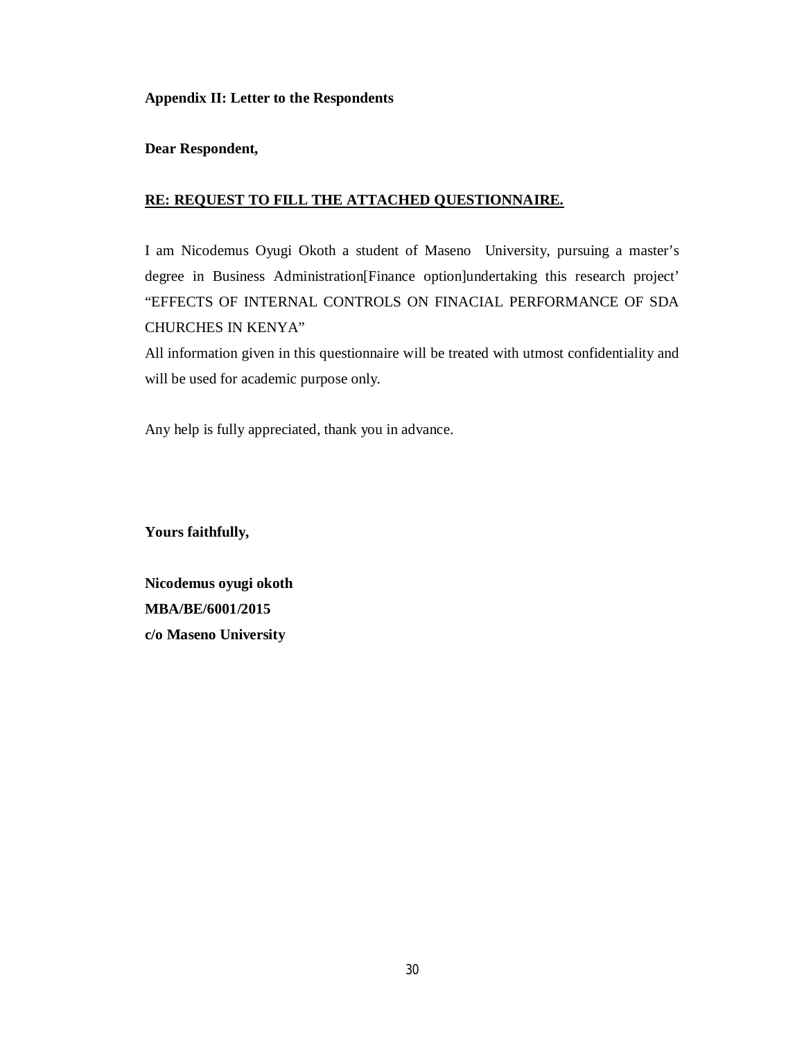### **Appendix II: Letter to the Respondents**

### **Dear Respondent,**

### **RE: REQUEST TO FILL THE ATTACHED QUESTIONNAIRE.**

I am Nicodemus Oyugi Okoth a student of Maseno University, pursuing a master's degree in Business Administration[Finance option]undertaking this research project' "EFFECTS OF INTERNAL CONTROLS ON FINACIAL PERFORMANCE OF SDA CHURCHES IN KENYA"

All information given in this questionnaire will be treated with utmost confidentiality and will be used for academic purpose only.

Any help is fully appreciated, thank you in advance.

**Yours faithfully,**

**Nicodemus oyugi okoth MBA/BE/6001/2015 c/o Maseno University**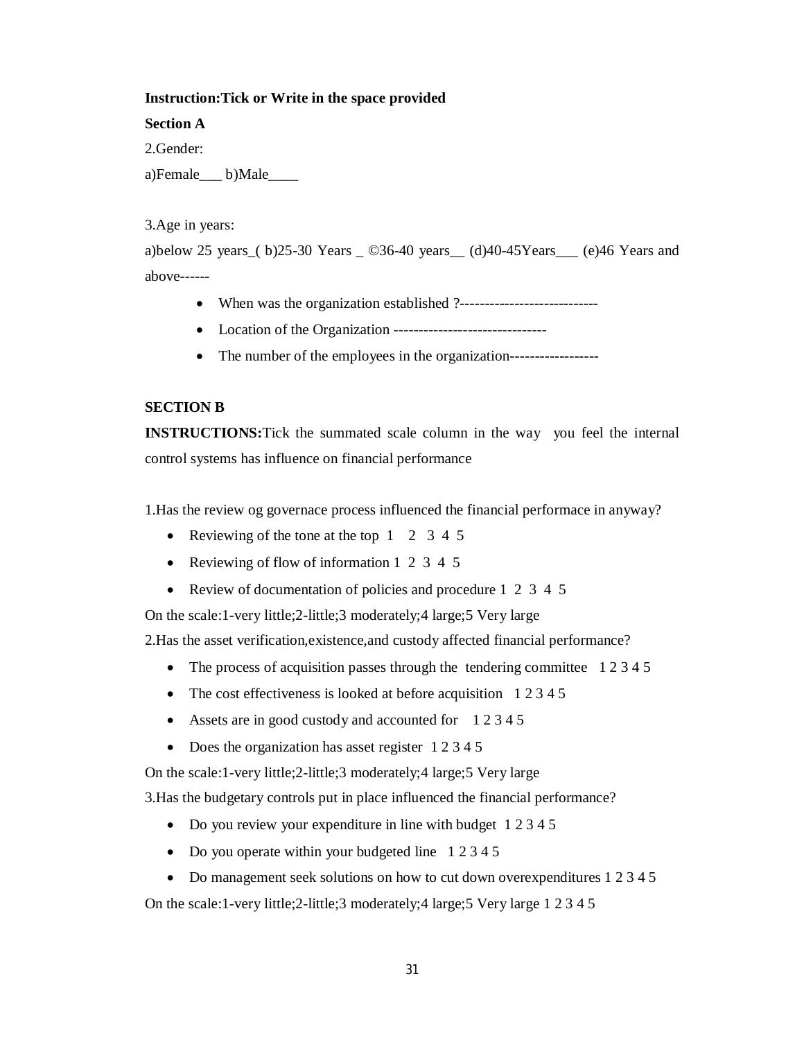### **Instruction:Tick or Write in the space provided**

**Section A**

2.Gender:

a)Female b)Male

3.Age in years:

a)below 25 years\_( b)25-30 Years \_ ©36-40 years\_\_ (d)40-45Years\_\_\_ (e)46 Years and above------

- When was the organization established ?----------------------------
- Location of the Organization -------------------------------
- The number of the employees in the organization------------------

### **SECTION B**

**INSTRUCTIONS:**Tick the summated scale column in the way you feel the internal control systems has influence on financial performance

1.Has the review og governace process influenced the financial performace in anyway?

- Reviewing of the tone at the top  $1 \quad 2 \quad 3 \quad 4 \quad 5$
- Reviewing of flow of information 1 2 3 4 5
- Review of documentation of policies and procedure 1 2 3 4 5

On the scale:1-very little;2-little;3 moderately;4 large;5 Very large

2.Has the asset verification,existence,and custody affected financial performance?

- The process of acquisition passes through the tendering committee 12345
- The cost effectiveness is looked at before acquisition 1 2 3 4 5
- Assets are in good custody and accounted for 1 2 3 4 5
- Does the organization has asset register 1 2 3 4 5

On the scale:1-very little;2-little;3 moderately;4 large;5 Very large

3.Has the budgetary controls put in place influenced the financial performance?

- Do you review your expenditure in line with budget 1 2 3 4 5
- Do you operate within your budgeted line 1 2 3 4 5
- Do management seek solutions on how to cut down overexpenditures 1 2 3 4 5

On the scale:1-very little;2-little;3 moderately;4 large;5 Very large 1 2 3 4 5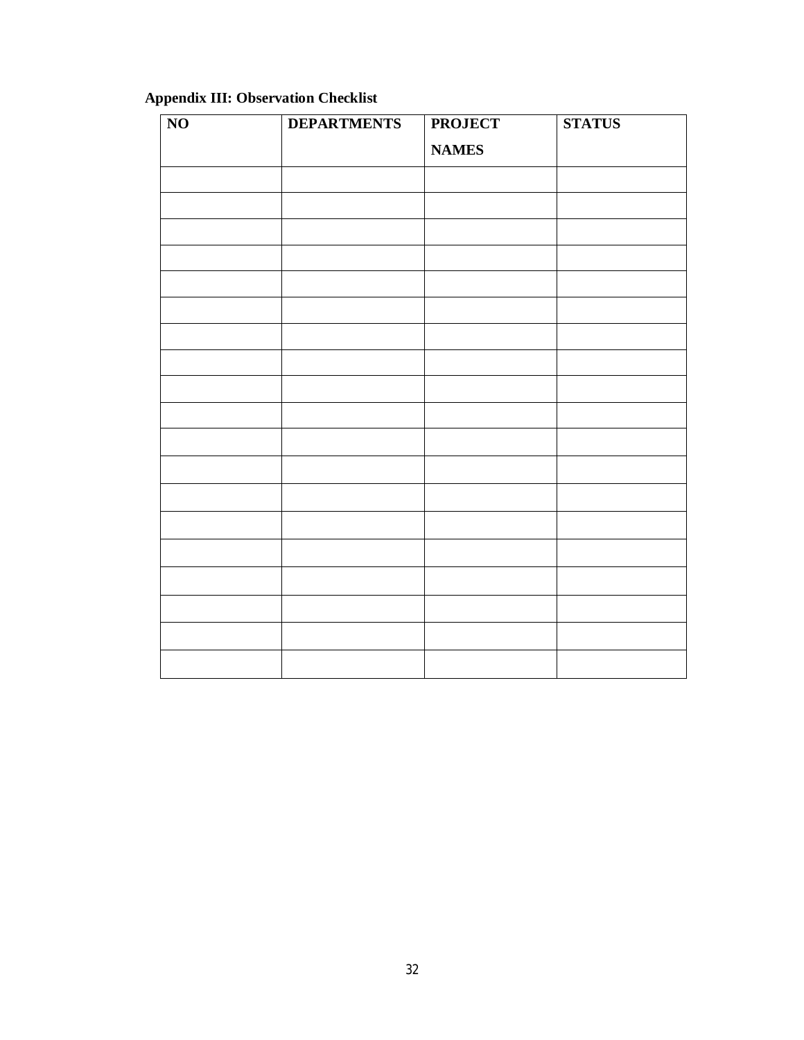| $\overline{NO}$ | <b>DEPARTMENTS</b> | <b>PROJECT</b> | <b>STATUS</b> |  |
|-----------------|--------------------|----------------|---------------|--|
|                 |                    | <b>NAMES</b>   |               |  |
|                 |                    |                |               |  |
|                 |                    |                |               |  |
|                 |                    |                |               |  |
|                 |                    |                |               |  |
|                 |                    |                |               |  |
|                 |                    |                |               |  |
|                 |                    |                |               |  |
|                 |                    |                |               |  |
|                 |                    |                |               |  |
|                 |                    |                |               |  |
|                 |                    |                |               |  |
|                 |                    |                |               |  |
|                 |                    |                |               |  |
|                 |                    |                |               |  |
|                 |                    |                |               |  |
|                 |                    |                |               |  |
|                 |                    |                |               |  |
|                 |                    |                |               |  |
|                 |                    |                |               |  |

## **Appendix III: Observation Checklist**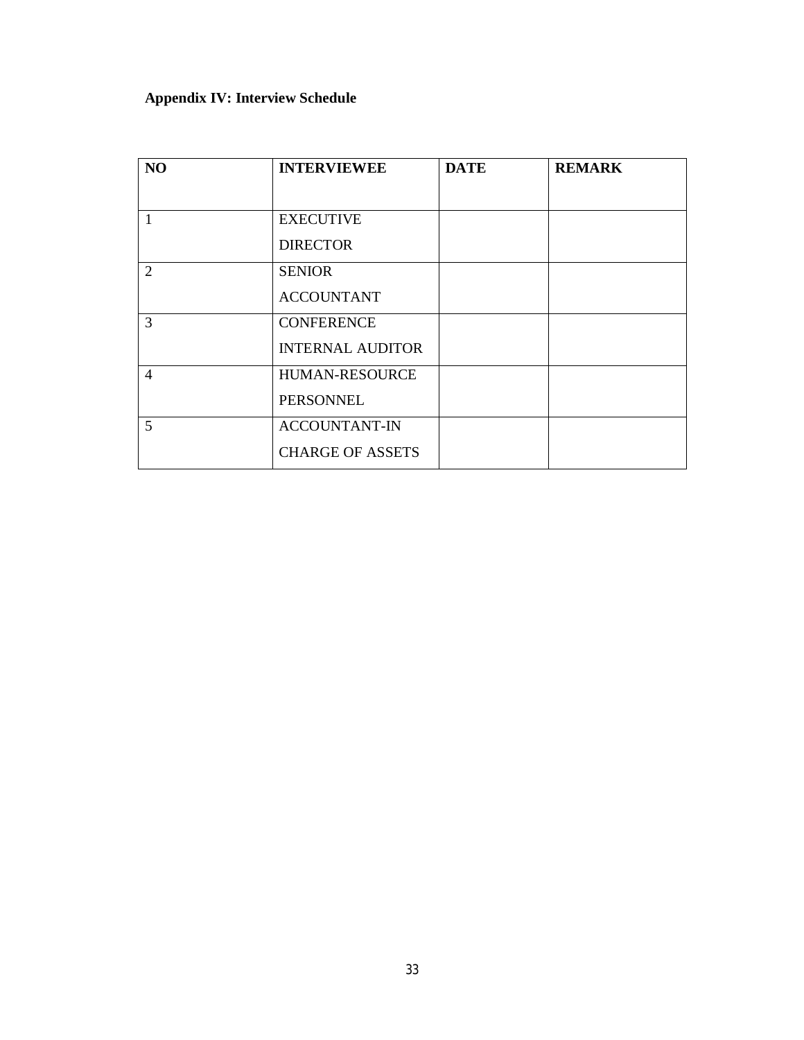## **Appendix IV: Interview Schedule**

| NO             | <b>INTERVIEWEE</b>      | <b>DATE</b> | <b>REMARK</b> |
|----------------|-------------------------|-------------|---------------|
|                |                         |             |               |
|                | <b>EXECUTIVE</b>        |             |               |
|                | <b>DIRECTOR</b>         |             |               |
| 2              | <b>SENIOR</b>           |             |               |
|                | <b>ACCOUNTANT</b>       |             |               |
| 3              | <b>CONFERENCE</b>       |             |               |
|                | <b>INTERNAL AUDITOR</b> |             |               |
| $\overline{4}$ | HUMAN-RESOURCE          |             |               |
|                | PERSONNEL               |             |               |
| 5              | <b>ACCOUNTANT-IN</b>    |             |               |
|                | <b>CHARGE OF ASSETS</b> |             |               |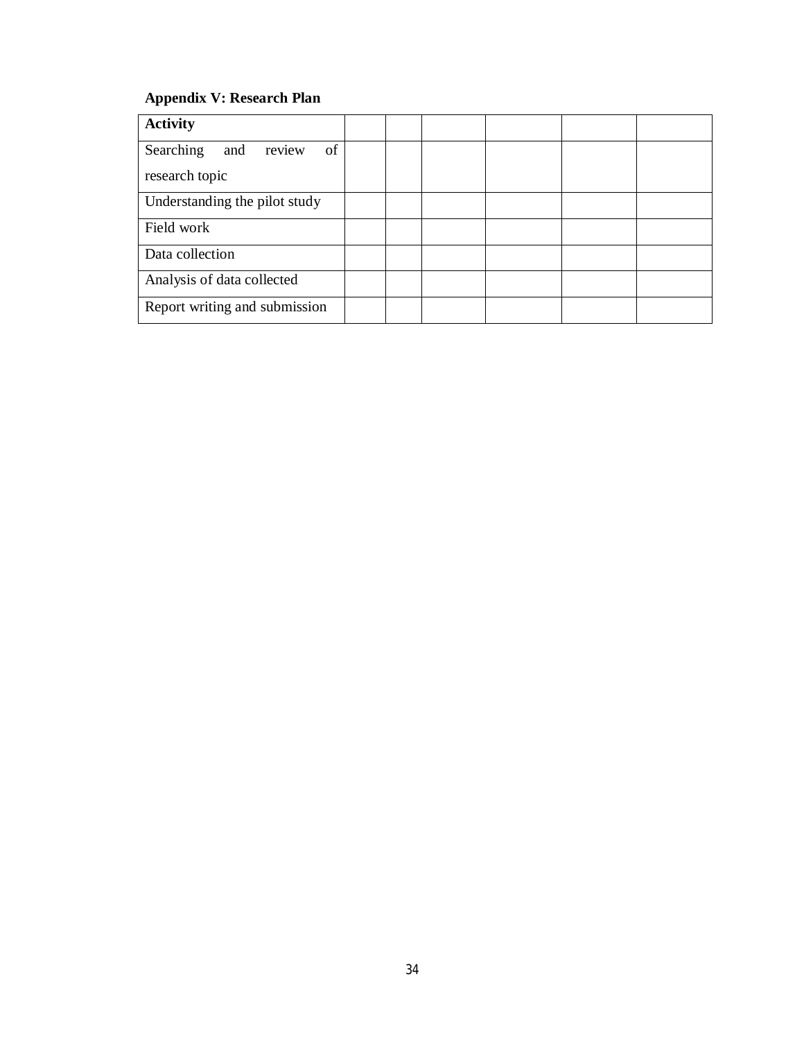## **Appendix V: Research Plan**

| <b>Activity</b>                  |  |  |  |
|----------------------------------|--|--|--|
| review<br>of<br>Searching<br>and |  |  |  |
| research topic                   |  |  |  |
| Understanding the pilot study    |  |  |  |
| Field work                       |  |  |  |
| Data collection                  |  |  |  |
| Analysis of data collected       |  |  |  |
| Report writing and submission    |  |  |  |